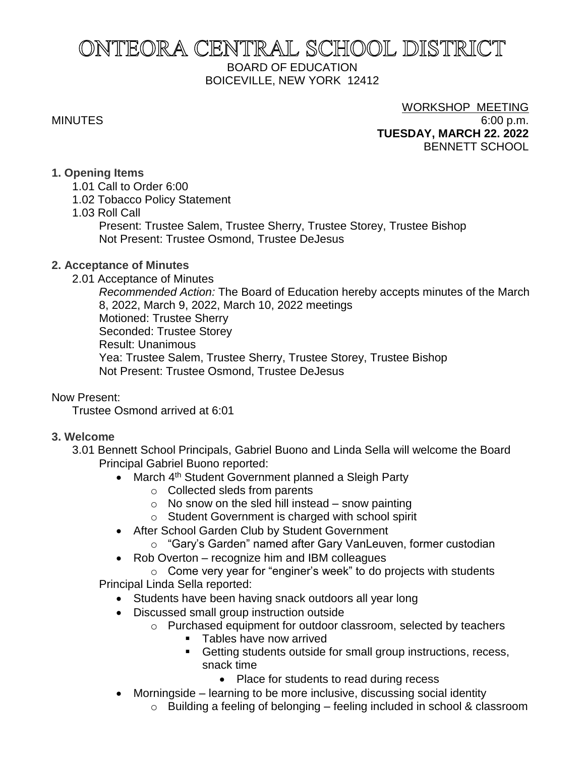# ONTEORA CENTRAL SCHOOL DISTRICT BOARD OF EDUCATION BOICEVILLE, NEW YORK 12412

## WORKSHOP MEETING MINUTES 6:00 p.m. **TUESDAY, MARCH 22. 2022** BENNETT SCHOOL

## **1. Opening Items**

- 1.01 Call to Order 6:00
- 1.02 Tobacco Policy Statement
- 1.03 Roll Call

Present: Trustee Salem, Trustee Sherry, Trustee Storey, Trustee Bishop Not Present: Trustee Osmond, Trustee DeJesus

## **2. Acceptance of Minutes**

2.01 Acceptance of Minutes

*Recommended Action:* The Board of Education hereby accepts minutes of the March 8, 2022, March 9, 2022, March 10, 2022 meetings Motioned: Trustee Sherry Seconded: Trustee Storey Result: Unanimous Yea: Trustee Salem, Trustee Sherry, Trustee Storey, Trustee Bishop Not Present: Trustee Osmond, Trustee DeJesus

Now Present:

Trustee Osmond arrived at 6:01

## **3. Welcome**

- 3.01 Bennett School Principals, Gabriel Buono and Linda Sella will welcome the Board Principal Gabriel Buono reported:
	- March 4<sup>th</sup> Student Government planned a Sleigh Party
		- o Collected sleds from parents
		- $\circ$  No snow on the sled hill instead snow painting
		- o Student Government is charged with school spirit
	- After School Garden Club by Student Government
		- o "Gary's Garden" named after Gary VanLeuven, former custodian
	- Rob Overton recognize him and IBM colleagues

o Come very year for "enginer's week" to do projects with students Principal Linda Sella reported:

- Students have been having snack outdoors all year long
- Discussed small group instruction outside
	- o Purchased equipment for outdoor classroom, selected by teachers
		- Tables have now arrived
		- Getting students outside for small group instructions, recess, snack time
			- Place for students to read during recess
- Morningside learning to be more inclusive, discussing social identity
	- o Building a feeling of belonging feeling included in school & classroom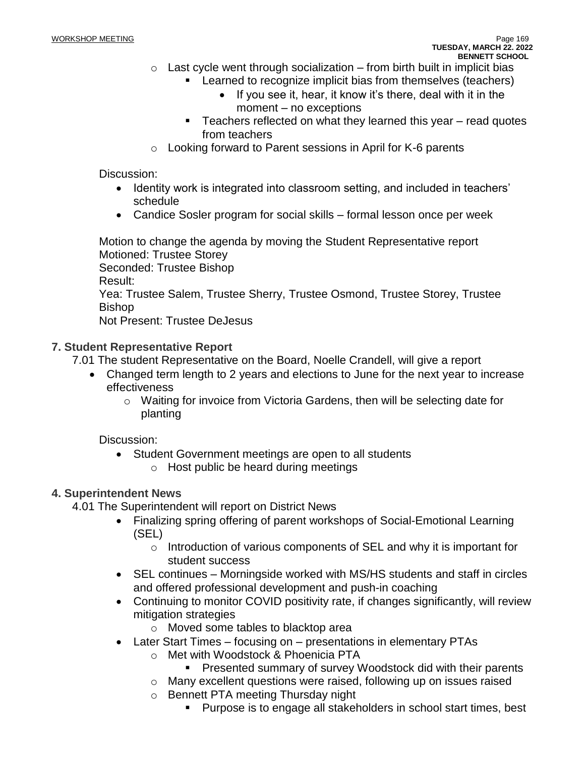- $\circ$  Last cycle went through socialization from birth built in implicit bias
	- **EXECT** Learned to recognize implicit bias from themselves (teachers)
		- If you see it, hear, it know it's there, deal with it in the moment – no exceptions
	- Teachers reflected on what they learned this year read quotes from teachers
- o Looking forward to Parent sessions in April for K-6 parents

## Discussion:

- Identity work is integrated into classroom setting, and included in teachers' schedule
- Candice Sosler program for social skills formal lesson once per week

Motion to change the agenda by moving the Student Representative report Motioned: Trustee Storey Seconded: Trustee Bishop Result: Yea: Trustee Salem, Trustee Sherry, Trustee Osmond, Trustee Storey, Trustee Bishop Not Present: Trustee DeJesus

## **7. Student Representative Report**

- 7.01 The student Representative on the Board, Noelle Crandell, will give a report
	- Changed term length to 2 years and elections to June for the next year to increase effectiveness
		- o Waiting for invoice from Victoria Gardens, then will be selecting date for planting

Discussion:

- Student Government meetings are open to all students
	- o Host public be heard during meetings

## **4. Superintendent News**

4.01 The Superintendent will report on District News

- Finalizing spring offering of parent workshops of Social-Emotional Learning (SEL)
	- o Introduction of various components of SEL and why it is important for student success
- SEL continues Morningside worked with MS/HS students and staff in circles and offered professional development and push-in coaching
- Continuing to monitor COVID positivity rate, if changes significantly, will review mitigation strategies
	- o Moved some tables to blacktop area
- Later Start Times focusing on presentations in elementary PTAs
	- o Met with Woodstock & Phoenicia PTA
		- Presented summary of survey Woodstock did with their parents
	- o Many excellent questions were raised, following up on issues raised
	- o Bennett PTA meeting Thursday night
		- Purpose is to engage all stakeholders in school start times, best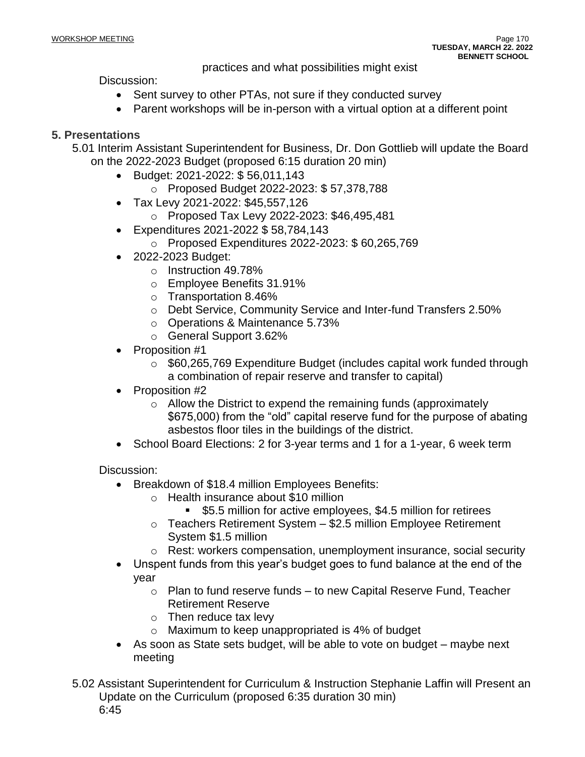practices and what possibilities might exist

Discussion:

- Sent survey to other PTAs, not sure if they conducted survey
- Parent workshops will be in-person with a virtual option at a different point

## **5. Presentations**

5.01 Interim Assistant Superintendent for Business, Dr. Don Gottlieb will update the Board on the 2022-2023 Budget (proposed 6:15 duration 20 min)

- Budget: 2021-2022: \$ 56,011,143
	- o Proposed Budget 2022-2023: \$ 57,378,788
- Tax Levy 2021-2022: \$45,557,126
	- o Proposed Tax Levy 2022-2023: \$46,495,481
- Expenditures 2021-2022 \$ 58,784,143
	- o Proposed Expenditures 2022-2023: \$ 60,265,769
- 2022-2023 Budget:
	- o Instruction 49.78%
	- o Employee Benefits 31.91%
	- o Transportation 8.46%
	- o Debt Service, Community Service and Inter-fund Transfers 2.50%
	- o Operations & Maintenance 5.73%
	- o General Support 3.62%
- Proposition #1
	- $\circ$  \$60,265,769 Expenditure Budget (includes capital work funded through a combination of repair reserve and transfer to capital)
- Proposition #2
	- o Allow the District to expend the remaining funds (approximately \$675,000) from the "old" capital reserve fund for the purpose of abating asbestos floor tiles in the buildings of the district.
- School Board Elections: 2 for 3-year terms and 1 for a 1-year, 6 week term

Discussion:

- Breakdown of \$18.4 million Employees Benefits:
	- o Health insurance about \$10 million
		- \$5.5 million for active employees, \$4.5 million for retirees
	- o Teachers Retirement System \$2.5 million Employee Retirement System \$1.5 million
	- o Rest: workers compensation, unemployment insurance, social security
- Unspent funds from this year's budget goes to fund balance at the end of the year
	- $\circ$  Plan to fund reserve funds to new Capital Reserve Fund, Teacher Retirement Reserve
	- $\circ$  Then reduce tax levy
	- o Maximum to keep unappropriated is 4% of budget
- As soon as State sets budget, will be able to vote on budget maybe next meeting

5.02 Assistant Superintendent for Curriculum & Instruction Stephanie Laffin will Present an Update on the Curriculum (proposed 6:35 duration 30 min) 6:45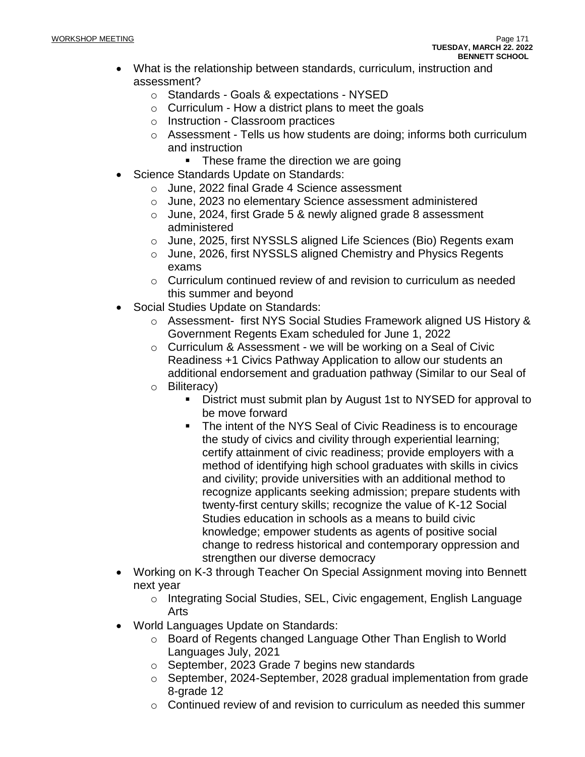- What is the relationship between standards, curriculum, instruction and assessment?
	- o Standards Goals & expectations NYSED
	- $\circ$  Curriculum How a district plans to meet the goals
	- o Instruction Classroom practices
	- o Assessment Tells us how students are doing; informs both curriculum and instruction
		- These frame the direction we are going
- Science Standards Update on Standards:
	- o June, 2022 final Grade 4 Science assessment
	- o June, 2023 no elementary Science assessment administered
	- o June, 2024, first Grade 5 & newly aligned grade 8 assessment administered
	- o June, 2025, first NYSSLS aligned Life Sciences (Bio) Regents exam
	- o June, 2026, first NYSSLS aligned Chemistry and Physics Regents exams
	- $\circ$  Curriculum continued review of and revision to curriculum as needed this summer and beyond
- Social Studies Update on Standards:
	- o Assessment- first NYS Social Studies Framework aligned US History & Government Regents Exam scheduled for June 1, 2022
	- o Curriculum & Assessment we will be working on a Seal of Civic Readiness +1 Civics Pathway Application to allow our students an additional endorsement and graduation pathway (Similar to our Seal of
	- o Biliteracy)
		- District must submit plan by August 1st to NYSED for approval to be move forward
		- The intent of the NYS Seal of Civic Readiness is to encourage the study of civics and civility through experiential learning; certify attainment of civic readiness; provide employers with a method of identifying high school graduates with skills in civics and civility; provide universities with an additional method to recognize applicants seeking admission; prepare students with twenty-first century skills; recognize the value of K-12 Social Studies education in schools as a means to build civic knowledge; empower students as agents of positive social change to redress historical and contemporary oppression and strengthen our diverse democracy
- Working on K-3 through Teacher On Special Assignment moving into Bennett next year
	- o Integrating Social Studies, SEL, Civic engagement, English Language Arts
- World Languages Update on Standards:
	- o Board of Regents changed Language Other Than English to World Languages July, 2021
	- o September, 2023 Grade 7 begins new standards
	- o September, 2024-September, 2028 gradual implementation from grade 8-grade 12
	- $\circ$  Continued review of and revision to curriculum as needed this summer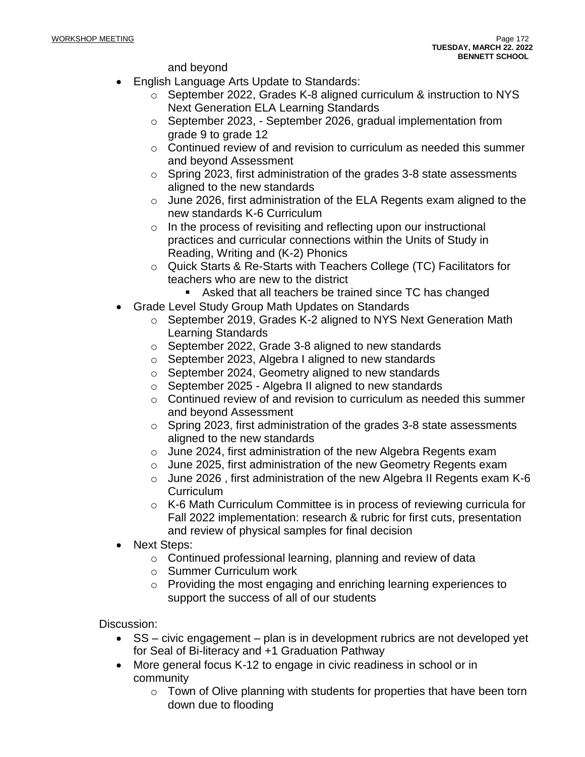and beyond

- English Language Arts Update to Standards:
	- o September 2022, Grades K-8 aligned curriculum & instruction to NYS Next Generation ELA Learning Standards
	- o September 2023, September 2026, gradual implementation from grade 9 to grade 12
	- o Continued review of and revision to curriculum as needed this summer and beyond Assessment
	- o Spring 2023, first administration of the grades 3-8 state assessments aligned to the new standards
	- o June 2026, first administration of the ELA Regents exam aligned to the new standards K-6 Curriculum
	- o In the process of revisiting and reflecting upon our instructional practices and curricular connections within the Units of Study in Reading, Writing and (K-2) Phonics
	- o Quick Starts & Re-Starts with Teachers College (TC) Facilitators for teachers who are new to the district
		- Asked that all teachers be trained since TC has changed
- Grade Level Study Group Math Updates on Standards
	- $\circ$  September 2019, Grades K-2 aligned to NYS Next Generation Math Learning Standards
	- o September 2022, Grade 3-8 aligned to new standards
	- o September 2023, Algebra I aligned to new standards
	- o September 2024, Geometry aligned to new standards
	- o September 2025 Algebra II aligned to new standards
	- o Continued review of and revision to curriculum as needed this summer and beyond Assessment
	- o Spring 2023, first administration of the grades 3-8 state assessments aligned to the new standards
	- o June 2024, first administration of the new Algebra Regents exam
	- o June 2025, first administration of the new Geometry Regents exam
	- o June 2026 , first administration of the new Algebra II Regents exam K-6 **Curriculum**
	- o K-6 Math Curriculum Committee is in process of reviewing curricula for Fall 2022 implementation: research & rubric for first cuts, presentation and review of physical samples for final decision
- Next Steps:
	- o Continued professional learning, planning and review of data
	- o Summer Curriculum work
	- o Providing the most engaging and enriching learning experiences to support the success of all of our students

Discussion:

- SS civic engagement plan is in development rubrics are not developed yet for Seal of Bi-literacy and +1 Graduation Pathway
- More general focus K-12 to engage in civic readiness in school or in community
	- $\circ$  Town of Olive planning with students for properties that have been torn down due to flooding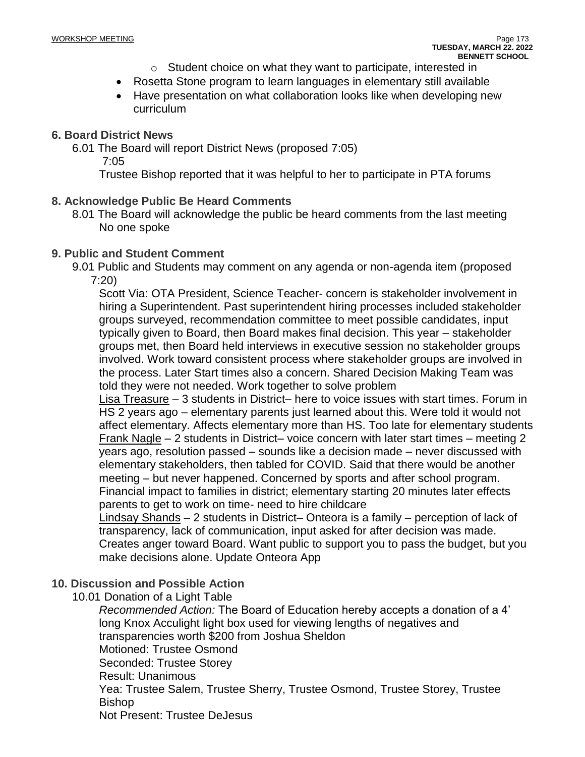- o Student choice on what they want to participate, interested in
- Rosetta Stone program to learn languages in elementary still available
- Have presentation on what collaboration looks like when developing new curriculum

## **6. Board District News**

6.01 The Board will report District News (proposed 7:05)

7:05

Trustee Bishop reported that it was helpful to her to participate in PTA forums

## **8. Acknowledge Public Be Heard Comments**

8.01 The Board will acknowledge the public be heard comments from the last meeting No one spoke

## **9. Public and Student Comment**

9.01 Public and Students may comment on any agenda or non-agenda item (proposed 7:20)

Scott Via: OTA President, Science Teacher- concern is stakeholder involvement in hiring a Superintendent. Past superintendent hiring processes included stakeholder groups surveyed, recommendation committee to meet possible candidates, input typically given to Board, then Board makes final decision. This year – stakeholder groups met, then Board held interviews in executive session no stakeholder groups involved. Work toward consistent process where stakeholder groups are involved in the process. Later Start times also a concern. Shared Decision Making Team was told they were not needed. Work together to solve problem

Lisa Treasure – 3 students in District– here to voice issues with start times. Forum in HS 2 years ago – elementary parents just learned about this. Were told it would not affect elementary. Affects elementary more than HS. Too late for elementary students Frank Nagle – 2 students in District– voice concern with later start times – meeting 2 years ago, resolution passed – sounds like a decision made – never discussed with elementary stakeholders, then tabled for COVID. Said that there would be another meeting – but never happened. Concerned by sports and after school program. Financial impact to families in district; elementary starting 20 minutes later effects parents to get to work on time- need to hire childcare

Lindsay Shands – 2 students in District– Onteora is a family – perception of lack of transparency, lack of communication, input asked for after decision was made. Creates anger toward Board. Want public to support you to pass the budget, but you make decisions alone. Update Onteora App

## **10. Discussion and Possible Action**

10.01 Donation of a Light Table

*Recommended Action:* The Board of Education hereby accepts a donation of a 4' long Knox Acculight light box used for viewing lengths of negatives and transparencies worth \$200 from Joshua Sheldon Motioned: Trustee Osmond Seconded: Trustee Storey Result: Unanimous Yea: Trustee Salem, Trustee Sherry, Trustee Osmond, Trustee Storey, Trustee Bishop Not Present: Trustee DeJesus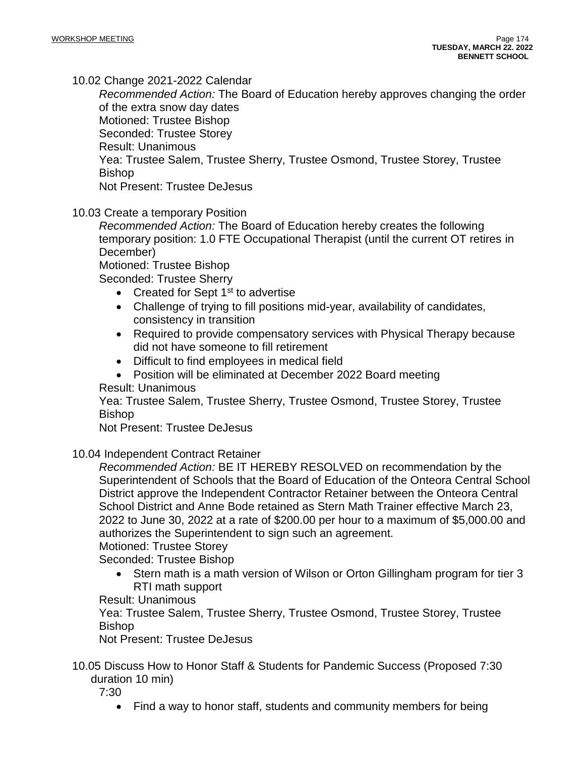10.02 Change 2021-2022 Calendar

*Recommended Action:* The Board of Education hereby approves changing the order of the extra snow day dates Motioned: Trustee Bishop Seconded: Trustee Storey Result: Unanimous Yea: Trustee Salem, Trustee Sherry, Trustee Osmond, Trustee Storey, Trustee Bishop Not Present: Trustee DeJesus

10.03 Create a temporary Position

*Recommended Action:* The Board of Education hereby creates the following temporary position: 1.0 FTE Occupational Therapist (until the current OT retires in December)

Motioned: Trustee Bishop

Seconded: Trustee Sherry

- Created for Sept  $1<sup>st</sup>$  to advertise
- Challenge of trying to fill positions mid-year, availability of candidates, consistency in transition
- Required to provide compensatory services with Physical Therapy because did not have someone to fill retirement
- Difficult to find employees in medical field
- Position will be eliminated at December 2022 Board meeting

Result: Unanimous

Yea: Trustee Salem, Trustee Sherry, Trustee Osmond, Trustee Storey, Trustee Bishop

Not Present: Trustee DeJesus

10.04 Independent Contract Retainer

*Recommended Action:* BE IT HEREBY RESOLVED on recommendation by the Superintendent of Schools that the Board of Education of the Onteora Central School District approve the Independent Contractor Retainer between the Onteora Central School District and Anne Bode retained as Stern Math Trainer effective March 23, 2022 to June 30, 2022 at a rate of \$200.00 per hour to a maximum of \$5,000.00 and authorizes the Superintendent to sign such an agreement.

Motioned: Trustee Storey

Seconded: Trustee Bishop

• Stern math is a math version of Wilson or Orton Gillingham program for tier 3 RTI math support

Result: Unanimous

Yea: Trustee Salem, Trustee Sherry, Trustee Osmond, Trustee Storey, Trustee Bishop

Not Present: Trustee DeJesus

10.05 Discuss How to Honor Staff & Students for Pandemic Success (Proposed 7:30 duration 10 min)

7:30

• Find a way to honor staff, students and community members for being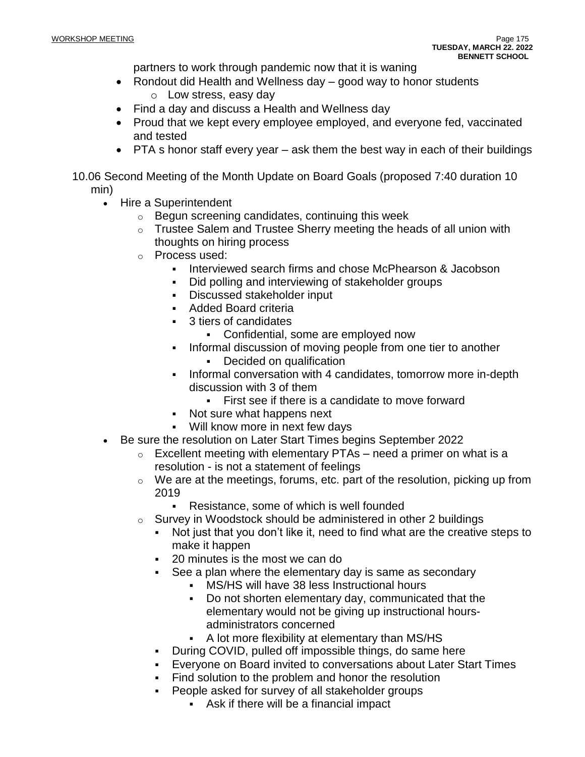partners to work through pandemic now that it is waning

- Rondout did Health and Wellness day good way to honor students o Low stress, easy day
- Find a day and discuss a Health and Wellness day
- Proud that we kept every employee employed, and everyone fed, vaccinated and tested
- PTA s honor staff every year ask them the best way in each of their buildings
- 10.06 Second Meeting of the Month Update on Board Goals (proposed 7:40 duration 10 min)
	- Hire a Superintendent
		- o Begun screening candidates, continuing this week
		- $\circ$  Trustee Salem and Trustee Sherry meeting the heads of all union with thoughts on hiring process
		- o Process used:
			- Interviewed search firms and chose McPhearson & Jacobson
			- Did polling and interviewing of stakeholder groups
			- Discussed stakeholder input
			- Added Board criteria
			- 3 tiers of candidates
				- Confidential, some are employed now
			- Informal discussion of moving people from one tier to another • Decided on qualification
			- Informal conversation with 4 candidates, tomorrow more in-depth discussion with 3 of them
				- **EXECT:** First see if there is a candidate to move forward
			- Not sure what happens next
			- Will know more in next few days
	- Be sure the resolution on Later Start Times begins September 2022
		- $\circ$  Excellent meeting with elementary PTAs need a primer on what is a resolution - is not a statement of feelings
		- $\circ$  We are at the meetings, forums, etc. part of the resolution, picking up from 2019
			- Resistance, some of which is well founded
		- $\circ$  Survey in Woodstock should be administered in other 2 buildings
			- Not just that you don't like it, need to find what are the creative steps to make it happen
			- 20 minutes is the most we can do
			- See a plan where the elementary day is same as secondary
				- MS/HS will have 38 less Instructional hours
				- Do not shorten elementary day, communicated that the elementary would not be giving up instructional hoursadministrators concerned
				- A lot more flexibility at elementary than MS/HS
			- During COVID, pulled off impossible things, do same here
			- Everyone on Board invited to conversations about Later Start Times
			- Find solution to the problem and honor the resolution
				- People asked for survey of all stakeholder groups
					- Ask if there will be a financial impact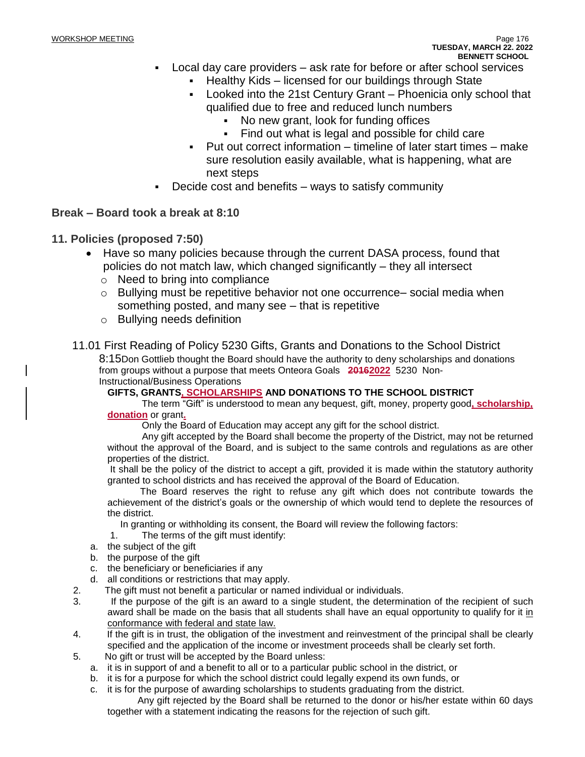- Local day care providers ask rate for before or after school services
	- **EXEC** Healthy Kids licensed for our buildings through State
	- Looked into the 21st Century Grant Phoenicia only school that qualified due to free and reduced lunch numbers
		- No new grant, look for funding offices
		- Find out what is legal and possible for child care
	- Put out correct information timeline of later start times make sure resolution easily available, what is happening, what are next steps
- Decide cost and benefits  $-$  ways to satisfy community

## **Break – Board took a break at 8:10**

- **11. Policies (proposed 7:50)**
	- Have so many policies because through the current DASA process, found that policies do not match law, which changed significantly – they all intersect
		- o Need to bring into compliance
		- $\circ$  Bullying must be repetitive behavior not one occurrence– social media when something posted, and many see – that is repetitive
		- o Bullying needs definition

## 11.01 First Reading of Policy 5230 Gifts, Grants and Donations to the School District

8:15Don Gottlieb thought the Board should have the authority to deny scholarships and donations from groups without a purpose that meets Onteora Goals **20162022** 5230 Non-Instructional/Business Operations

## **GIFTS, GRANTS, SCHOLARSHIPS AND DONATIONS TO THE SCHOOL DISTRICT**

The term "Gift" is understood to mean any bequest, gift, money, property good**, scholarship, donation** or grant**.**

Only the Board of Education may accept any gift for the school district.

 Any gift accepted by the Board shall become the property of the District, may not be returned without the approval of the Board, and is subject to the same controls and regulations as are other properties of the district.

It shall be the policy of the district to accept a gift, provided it is made within the statutory authority granted to school districts and has received the approval of the Board of Education.

The Board reserves the right to refuse any gift which does not contribute towards the achievement of the district's goals or the ownership of which would tend to deplete the resources of the district.

In granting or withholding its consent, the Board will review the following factors:

- 1. The terms of the gift must identify:
- a. the subject of the gift
- b. the purpose of the gift
- c. the beneficiary or beneficiaries if any
- d. all conditions or restrictions that may apply.
- 2. The gift must not benefit a particular or named individual or individuals.
- 3. If the purpose of the gift is an award to a single student, the determination of the recipient of such award shall be made on the basis that all students shall have an equal opportunity to qualify for it in conformance with federal and state law.
- 4. If the gift is in trust, the obligation of the investment and reinvestment of the principal shall be clearly specified and the application of the income or investment proceeds shall be clearly set forth.
- 5. No gift or trust will be accepted by the Board unless:
	- a. it is in support of and a benefit to all or to a particular public school in the district, or
	- b. it is for a purpose for which the school district could legally expend its own funds, or
	- c. it is for the purpose of awarding scholarships to students graduating from the district.
		- Any gift rejected by the Board shall be returned to the donor or his/her estate within 60 days together with a statement indicating the reasons for the rejection of such gift.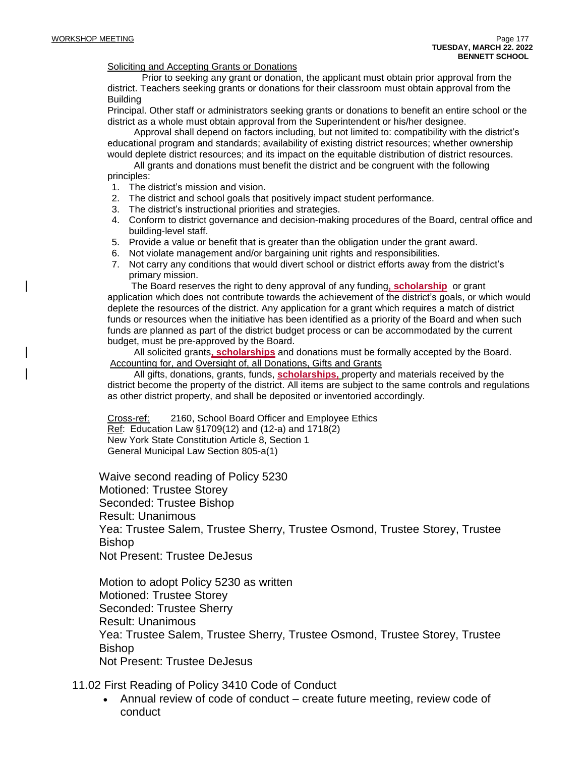#### Soliciting and Accepting Grants or Donations

Prior to seeking any grant or donation, the applicant must obtain prior approval from the district. Teachers seeking grants or donations for their classroom must obtain approval from the **Building** 

Principal. Other staff or administrators seeking grants or donations to benefit an entire school or the district as a whole must obtain approval from the Superintendent or his/her designee.

 Approval shall depend on factors including, but not limited to: compatibility with the district's educational program and standards; availability of existing district resources; whether ownership would deplete district resources; and its impact on the equitable distribution of district resources.

 All grants and donations must benefit the district and be congruent with the following principles:

- 1. The district's mission and vision.
- 2. The district and school goals that positively impact student performance.
- 3. The district's instructional priorities and strategies.
- 4. Conform to district governance and decision-making procedures of the Board, central office and building-level staff.
- 5. Provide a value or benefit that is greater than the obligation under the grant award.
- 6. Not violate management and/or bargaining unit rights and responsibilities.
- 7. Not carry any conditions that would divert school or district efforts away from the district's primary mission.

 The Board reserves the right to deny approval of any funding**, scholarship** or grant application which does not contribute towards the achievement of the district's goals, or which would deplete the resources of the district. Any application for a grant which requires a match of district funds or resources when the initiative has been identified as a priority of the Board and when such funds are planned as part of the district budget process or can be accommodated by the current budget, must be pre-approved by the Board.

 All solicited grants**, scholarships** and donations must be formally accepted by the Board. Accounting for, and Oversight of, all Donations, Gifts and Grants

 All gifts, donations, grants, funds, **scholarships,** property and materials received by the district become the property of the district. All items are subject to the same controls and regulations as other district property, and shall be deposited or inventoried accordingly.

Cross-ref: 2160, School Board Officer and Employee Ethics Ref: Education Law §1709(12) and (12-a) and 1718(2) New York State Constitution Article 8, Section 1 General Municipal Law Section 805-a(1)

Waive second reading of Policy 5230 Motioned: Trustee Storey Seconded: Trustee Bishop Result: Unanimous Yea: Trustee Salem, Trustee Sherry, Trustee Osmond, Trustee Storey, Trustee Bishop Not Present: Trustee DeJesus

Motion to adopt Policy 5230 as written Motioned: Trustee Storey Seconded: Trustee Sherry Result: Unanimous Yea: Trustee Salem, Trustee Sherry, Trustee Osmond, Trustee Storey, Trustee Bishop Not Present: Trustee DeJesus

11.02 First Reading of Policy 3410 Code of Conduct

• Annual review of code of conduct – create future meeting, review code of conduct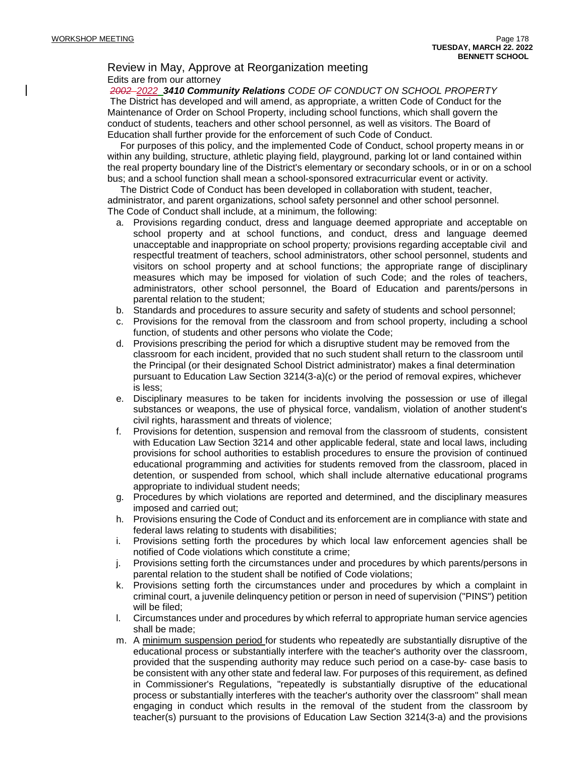## Review in May, Approve at Reorganization meeting Edits are from our attorney

*2002 2022 3410 Community Relations CODE OF CONDUCT ON SCHOOL PROPERTY* The District has developed and will amend, as appropriate, a written Code of Conduct for the Maintenance of Order on School Property, including school functions, which shall govern the conduct of students, teachers and other school personnel, as well as visitors. The Board of Education shall further provide for the enforcement of such Code of Conduct.

For purposes of this policy, and the implemented Code of Conduct, school property means in or within any building, structure, athletic playing field, playground, parking lot or land contained within the real property boundary line of the District's elementary or secondary schools, or in or on a school bus; and a school function shall mean a school-sponsored extracurricular event or activity.

The District Code of Conduct has been developed in collaboration with student, teacher, administrator, and parent organizations, school safety personnel and other school personnel. The Code of Conduct shall include, at a minimum, the following:

- a. Provisions regarding conduct, dress and language deemed appropriate and acceptable on school property and at school functions, and conduct, dress and language deemed unacceptable and inappropriate on school property*;* provisions regarding acceptable civil and respectful treatment of teachers, school administrators, other school personnel, students and visitors on school property and at school functions; the appropriate range of disciplinary measures which may be imposed for violation of such Code; and the roles of teachers, administrators, other school personnel, the Board of Education and parents/persons in parental relation to the student;
- b. Standards and procedures to assure security and safety of students and school personnel;
- c. Provisions for the removal from the classroom and from school property, including a school function, of students and other persons who violate the Code;
- d. Provisions prescribing the period for which a disruptive student may be removed from the classroom for each incident, provided that no such student shall return to the classroom until the Principal (or their designated School District administrator) makes a final determination pursuant to Education Law Section 3214(3-a)(c) or the period of removal expires, whichever is less;
- e. Disciplinary measures to be taken for incidents involving the possession or use of illegal substances or weapons, the use of physical force, vandalism, violation of another student's civil rights, harassment and threats of violence;
- f. Provisions for detention, suspension and removal from the classroom of students, consistent with Education Law Section 3214 and other applicable federal, state and local laws, including provisions for school authorities to establish procedures to ensure the provision of continued educational programming and activities for students removed from the classroom, placed in detention, or suspended from school, which shall include alternative educational programs appropriate to individual student needs;
- g. Procedures by which violations are reported and determined, and the disciplinary measures imposed and carried out;
- h. Provisions ensuring the Code of Conduct and its enforcement are in compliance with state and federal laws relating to students with disabilities;
- i. Provisions setting forth the procedures by which local law enforcement agencies shall be notified of Code violations which constitute a crime;
- j. Provisions setting forth the circumstances under and procedures by which parents/persons in parental relation to the student shall be notified of Code violations;
- k. Provisions setting forth the circumstances under and procedures by which a complaint in criminal court, a juvenile delinquency petition or person in need of supervision ("PINS") petition will be filed;
- l. Circumstances under and procedures by which referral to appropriate human service agencies shall be made;
- m. A minimum suspension period for students who repeatedly are substantially disruptive of the educational process or substantially interfere with the teacher's authority over the classroom, provided that the suspending authority may reduce such period on a case-by- case basis to be consistent with any other state and federal law. For purposes of this requirement, as defined in Commissioner's Regulations, "repeatedly is substantially disruptive of the educational process or substantially interferes with the teacher's authority over the classroom" shall mean engaging in conduct which results in the removal of the student from the classroom by teacher(s) pursuant to the provisions of Education Law Section 3214(3-a) and the provisions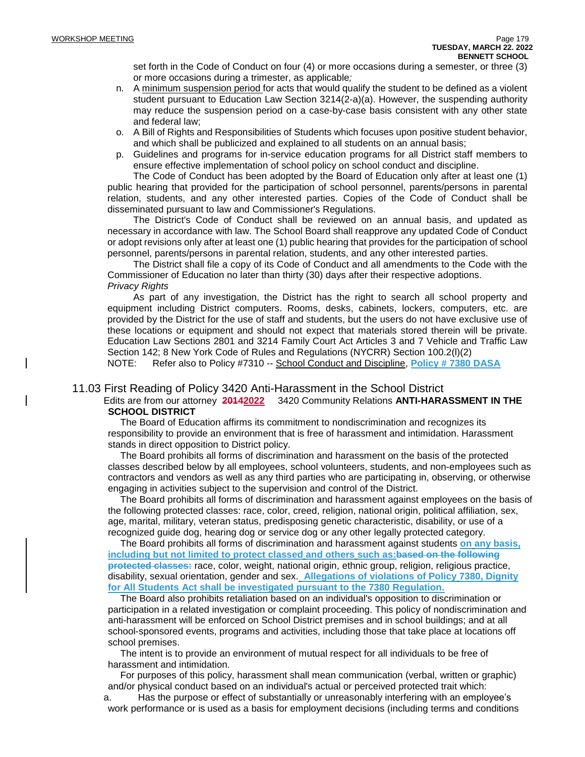set forth in the Code of Conduct on four (4) or more occasions during a semester, or three (3) or more occasions during a trimester, as applicable*;*

- n. A minimum suspension period for acts that would qualify the student to be defined as a violent student pursuant to Education Law Section 3214(2-a)(a). However, the suspending authority may reduce the suspension period on a case-by-case basis consistent with any other state and federal law;
- o. A Bill of Rights and Responsibilities of Students which focuses upon positive student behavior, and which shall be publicized and explained to all students on an annual basis;
- p. Guidelines and programs for in-service education programs for all District staff members to ensure effective implementation of school policy on school conduct and discipline.

The Code of Conduct has been adopted by the Board of Education only after at least one (1) public hearing that provided for the participation of school personnel, parents/persons in parental relation, students, and any other interested parties. Copies of the Code of Conduct shall be disseminated pursuant to law and Commissioner's Regulations.

The District's Code of Conduct shall be reviewed on an annual basis, and updated as necessary in accordance with law. The School Board shall reapprove any updated Code of Conduct or adopt revisions only after at least one (1) public hearing that provides for the participation of school personnel, parents/persons in parental relation, students, and any other interested parties.

The District shall file a copy of its Code of Conduct and all amendments to the Code with the Commissioner of Education no later than thirty (30) days after their respective adoptions. *Privacy Rights*

As part of any investigation, the District has the right to search all school property and equipment including District computers. Rooms, desks, cabinets, lockers, computers, etc. are provided by the District for the use of staff and students, but the users do not have exclusive use of these locations or equipment and should not expect that materials stored therein will be private. Education Law Sections 2801 and 3214 Family Court Act Articles 3 and 7 Vehicle and Traffic Law Section 142; 8 New York Code of Rules and Regulations (NYCRR) Section 100.2(l)(2)

NOTE: Refer also to Policy #7310 -- School Conduct and Discipline, **Policy # 7380 DASA**

#### 11.03 First Reading of Policy 3420 Anti-Harassment in the School District

#### Edits are from our attorney **20142022** 3420 Community Relations **ANTI-HARASSMENT IN THE SCHOOL DISTRICT**

The Board of Education affirms its commitment to nondiscrimination and recognizes its responsibility to provide an environment that is free of harassment and intimidation. Harassment stands in direct opposition to District policy.

The Board prohibits all forms of discrimination and harassment on the basis of the protected classes described below by all employees, school volunteers, students, and non-employees such as contractors and vendors as well as any third parties who are participating in, observing, or otherwise engaging in activities subject to the supervision and control of the District.

The Board prohibits all forms of discrimination and harassment against employees on the basis of the following protected classes: race, color, creed, religion, national origin, political affiliation, sex, age, marital, military, veteran status, predisposing genetic characteristic, disability, or use of a recognized guide dog, hearing dog or service dog or any other legally protected category.

The Board prohibits all forms of discrimination and harassment against students **on any basis, including but not limited to protect classed and others such as:based on the following protected classes:** race, color, weight, national origin, ethnic group, religion, religious practice, disability, sexual orientation, gender and sex. **Allegations of violations of Policy 7380, Dignity for All Students Act shall be investigated pursuant to the 7380 Regulation.**

The Board also prohibits retaliation based on an individual's opposition to discrimination or participation in a related investigation or complaint proceeding. This policy of nondiscrimination and anti-harassment will be enforced on School District premises and in school buildings; and at all school-sponsored events, programs and activities, including those that take place at locations off school premises.

The intent is to provide an environment of mutual respect for all individuals to be free of harassment and intimidation.

For purposes of this policy, harassment shall mean communication (verbal, written or graphic) and/or physical conduct based on an individual's actual or perceived protected trait which:

a. Has the purpose or effect of substantially or unreasonably interfering with an employee's work performance or is used as a basis for employment decisions (including terms and conditions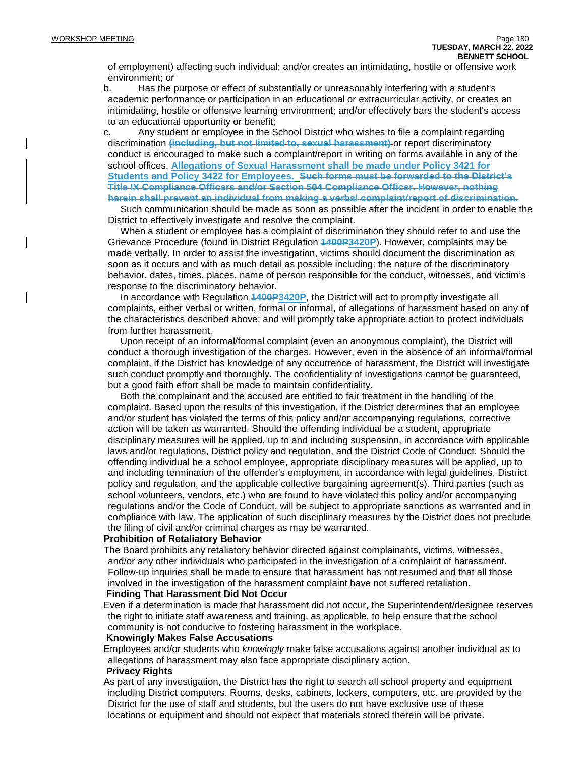of employment) affecting such individual; and/or creates an intimidating, hostile or offensive work environment; or

b. Has the purpose or effect of substantially or unreasonably interfering with a student's academic performance or participation in an educational or extracurricular activity, or creates an intimidating, hostile or offensive learning environment; and/or effectively bars the student's access to an educational opportunity or benefit;

c. Any student or employee in the School District who wishes to file a complaint regarding discrimination **(including, but not limited to, sexual harassment)** or report discriminatory conduct is encouraged to make such a complaint/report in writing on forms available in any of the school offices. **Allegations of Sexual Harassment shall be made under Policy 3421 for Students and Policy 3422 for Employees. Such forms must be forwarded to the District's Title IX Compliance Officers and/or Section 504 Compliance Officer. However, nothing herein shall prevent an individual from making a verbal complaint/report of discrimination.**

Such communication should be made as soon as possible after the incident in order to enable the District to effectively investigate and resolve the complaint.

When a student or employee has a complaint of discrimination they should refer to and use the Grievance Procedure (found in District Regulation **1400P3420P**). However, complaints may be made verbally. In order to assist the investigation, victims should document the discrimination as soon as it occurs and with as much detail as possible including: the nature of the discriminatory behavior, dates, times, places, name of person responsible for the conduct, witnesses, and victim's response to the discriminatory behavior.

In accordance with Regulation **1400P3420P**, the District will act to promptly investigate all complaints, either verbal or written, formal or informal, of allegations of harassment based on any of the characteristics described above; and will promptly take appropriate action to protect individuals from further harassment.

Upon receipt of an informal/formal complaint (even an anonymous complaint), the District will conduct a thorough investigation of the charges. However, even in the absence of an informal/formal complaint, if the District has knowledge of any occurrence of harassment, the District will investigate such conduct promptly and thoroughly. The confidentiality of investigations cannot be guaranteed, but a good faith effort shall be made to maintain confidentiality.

Both the complainant and the accused are entitled to fair treatment in the handling of the complaint. Based upon the results of this investigation, if the District determines that an employee and/or student has violated the terms of this policy and/or accompanying regulations, corrective action will be taken as warranted. Should the offending individual be a student, appropriate disciplinary measures will be applied, up to and including suspension, in accordance with applicable laws and/or regulations, District policy and regulation, and the District Code of Conduct. Should the offending individual be a school employee, appropriate disciplinary measures will be applied, up to and including termination of the offender's employment, in accordance with legal guidelines, District policy and regulation, and the applicable collective bargaining agreement(s). Third parties (such as school volunteers, vendors, etc.) who are found to have violated this policy and/or accompanying regulations and/or the Code of Conduct, will be subject to appropriate sanctions as warranted and in compliance with law. The application of such disciplinary measures by the District does not preclude the filing of civil and/or criminal charges as may be warranted.

#### **Prohibition of Retaliatory Behavior**

The Board prohibits any retaliatory behavior directed against complainants, victims, witnesses, and/or any other individuals who participated in the investigation of a complaint of harassment. Follow-up inquiries shall be made to ensure that harassment has not resumed and that all those involved in the investigation of the harassment complaint have not suffered retaliation.

#### **Finding That Harassment Did Not Occur**

Even if a determination is made that harassment did not occur, the Superintendent/designee reserves the right to initiate staff awareness and training, as applicable, to help ensure that the school community is not conducive to fostering harassment in the workplace.

#### **Knowingly Makes False Accusations**

Employees and/or students who *knowingly* make false accusations against another individual as to allegations of harassment may also face appropriate disciplinary action.

#### **Privacy Rights**

As part of any investigation, the District has the right to search all school property and equipment including District computers. Rooms, desks, cabinets, lockers, computers, etc. are provided by the District for the use of staff and students, but the users do not have exclusive use of these locations or equipment and should not expect that materials stored therein will be private.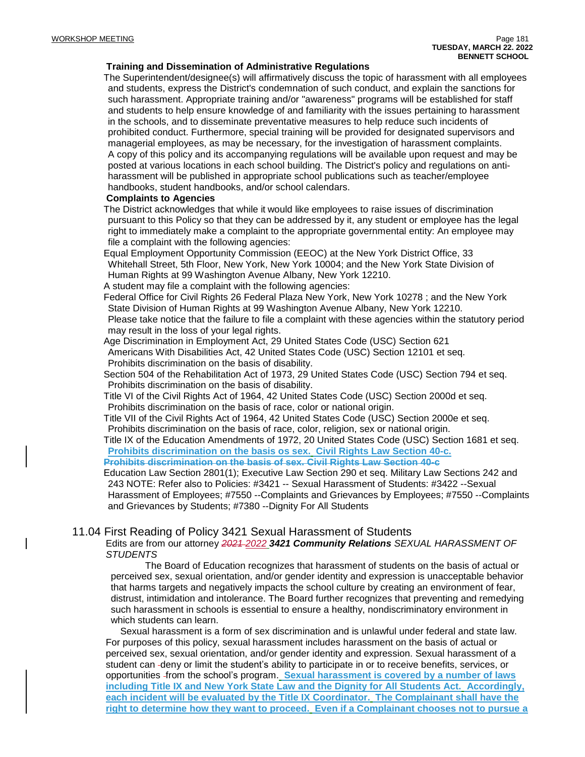#### **Training and Dissemination of Administrative Regulations**

The Superintendent/designee(s) will affirmatively discuss the topic of harassment with all employees and students, express the District's condemnation of such conduct, and explain the sanctions for such harassment. Appropriate training and/or "awareness" programs will be established for staff and students to help ensure knowledge of and familiarity with the issues pertaining to harassment in the schools, and to disseminate preventative measures to help reduce such incidents of prohibited conduct. Furthermore, special training will be provided for designated supervisors and managerial employees, as may be necessary, for the investigation of harassment complaints. A copy of this policy and its accompanying regulations will be available upon request and may be posted at various locations in each school building. The District's policy and regulations on antiharassment will be published in appropriate school publications such as teacher/employee handbooks, student handbooks, and/or school calendars.

#### **Complaints to Agencies**

The District acknowledges that while it would like employees to raise issues of discrimination pursuant to this Policy so that they can be addressed by it, any student or employee has the legal right to immediately make a complaint to the appropriate governmental entity: An employee may file a complaint with the following agencies:

Equal Employment Opportunity Commission (EEOC) at the New York District Office, 33 Whitehall Street, 5th Floor, New York, New York 10004; and the New York State Division of Human Rights at 99 Washington Avenue Albany, New York 12210.

A student may file a complaint with the following agencies:

Federal Office for Civil Rights 26 Federal Plaza New York, New York 10278 ; and the New York State Division of Human Rights at 99 Washington Avenue Albany, New York 12210. Please take notice that the failure to file a complaint with these agencies within the statutory period may result in the loss of your legal rights.

Age Discrimination in Employment Act, 29 United States Code (USC) Section 621 Americans With Disabilities Act, 42 United States Code (USC) Section 12101 et seq. Prohibits discrimination on the basis of disability.

Section 504 of the Rehabilitation Act of 1973, 29 United States Code (USC) Section 794 et seq. Prohibits discrimination on the basis of disability.

Title VI of the Civil Rights Act of 1964, 42 United States Code (USC) Section 2000d et seq. Prohibits discrimination on the basis of race, color or national origin.

Title VII of the Civil Rights Act of 1964, 42 United States Code (USC) Section 2000e et seq. Prohibits discrimination on the basis of race, color, religion, sex or national origin.

Title IX of the Education Amendments of 1972, 20 United States Code (USC) Section 1681 et seq. **Prohibits discrimination on the basis os sex. Civil Rights Law Section 40-c. Prohibits discrimination on the basis of sex. Civil Rights Law Section 40-c**

Education Law Section 2801(1); Executive Law Section 290 et seq. Military Law Sections 242 and 243 NOTE: Refer also to Policies: #3421 -- Sexual Harassment of Students: #3422 --Sexual Harassment of Employees; #7550 --Complaints and Grievances by Employees; #7550 --Complaints and Grievances by Students; #7380 --Dignity For All Students

### 11.04 First Reading of Policy 3421 Sexual Harassment of Students

Edits are from our attorney *2021 2022 3421 Community Relations SEXUAL HARASSMENT OF STUDENTS*

The Board of Education recognizes that harassment of students on the basis of actual or perceived sex, sexual orientation, and/or gender identity and expression is unacceptable behavior that harms targets and negatively impacts the school culture by creating an environment of fear, distrust, intimidation and intolerance. The Board further recognizes that preventing and remedying such harassment in schools is essential to ensure a healthy, nondiscriminatory environment in which students can learn.

Sexual harassment is a form of sex discrimination and is unlawful under federal and state law. For purposes of this policy, sexual harassment includes harassment on the basis of actual or perceived sex, sexual orientation, and/or gender identity and expression. Sexual harassment of a student can -deny or limit the student's ability to participate in or to receive benefits, services, or opportunities from the school's program. **Sexual harassment is covered by a number of laws including Title IX and New York State Law and the Dignity for All Students Act. Accordingly, each incident will be evaluated by the Title IX Coordinator. The Complainant shall have the right to determine how they want to proceed. Even if a Complainant chooses not to pursue a**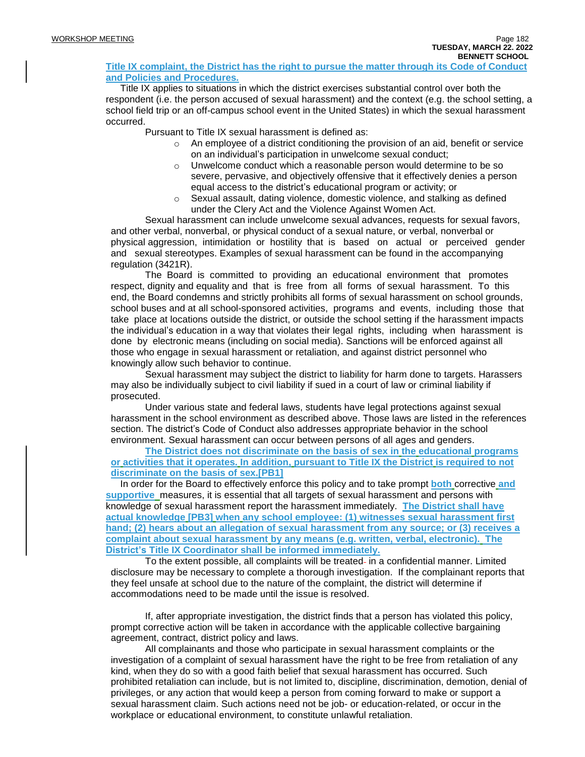#### **Title IX complaint, the District has the right to pursue the matter through its Code of Conduct and Policies and Procedures.**

Title IX applies to situations in which the district exercises substantial control over both the respondent (i.e. the person accused of sexual harassment) and the context (e.g. the school setting, a school field trip or an off-campus school event in the United States) in which the sexual harassment occurred.

Pursuant to Title IX sexual harassment is defined as:

- $\circ$  An employee of a district conditioning the provision of an aid, benefit or service on an individual's participation in unwelcome sexual conduct;
- o Unwelcome conduct which a reasonable person would determine to be so severe, pervasive, and objectively offensive that it effectively denies a person equal access to the district's educational program or activity; or
- $\circ$  Sexual assault, dating violence, domestic violence, and stalking as defined under the Clery Act and the Violence Against Women Act.

Sexual harassment can include unwelcome sexual advances, requests for sexual favors, and other verbal, nonverbal, or physical conduct of a sexual nature, or verbal, nonverbal or physical aggression, intimidation or hostility that is based on actual or perceived gender and sexual stereotypes. Examples of sexual harassment can be found in the accompanying regulation (3421R).

The Board is committed to providing an educational environment that promotes respect, dignity and equality and that is free from all forms of sexual harassment. To this end, the Board condemns and strictly prohibits all forms of sexual harassment on school grounds, school buses and at all school-sponsored activities, programs and events, including those that take place at locations outside the district, or outside the school setting if the harassment impacts the individual's education in a way that violates their legal rights, including when harassment is done by electronic means (including on social media). Sanctions will be enforced against all those who engage in sexual harassment or retaliation, and against district personnel who knowingly allow such behavior to continue.

Sexual harassment may subject the district to liability for harm done to targets. Harassers may also be individually subject to civil liability if sued in a court of law or criminal liability if prosecuted.

Under various state and federal laws, students have legal protections against sexual harassment in the school environment as described above. Those laws are listed in the references section. The district's Code of Conduct also addresses appropriate behavior in the school environment. Sexual harassment can occur between persons of all ages and genders.

**The District does not discriminate on the basis of sex in the educational programs or activities that it operates. In addition, pursuant to Title IX the District is required to not discriminate on the basis of sex[.\[PB1\]](https://go.boarddocs.com/ny/onteora/Board.nsf/Private?open&login#_msocom_1)**

In order for the Board to effectively enforce this policy and to take prompt **both** corrective **and supportive** measures, it is essential that all targets of sexual harassment and persons with knowledge of sexual harassment report the harassment immediately. **The District shall have actual knowledge [\[PB3\]](https://go.boarddocs.com/ny/onteora/Board.nsf/Private?open&login#_msocom_3) when any school employee: (1) witnesses sexual harassment first hand; (2) hears about an allegation of sexual harassment from any source; or (3) receives a complaint about sexual harassment by any means (e.g. written, verbal, electronic). The District's Title IX Coordinator shall be informed immediately.**

To the extent possible, all complaints will be treated- in a confidential manner. Limited disclosure may be necessary to complete a thorough investigation. If the complainant reports that they feel unsafe at school due to the nature of the complaint, the district will determine if accommodations need to be made until the issue is resolved.

If, after appropriate investigation, the district finds that a person has violated this policy, prompt corrective action will be taken in accordance with the applicable collective bargaining agreement, contract, district policy and laws.

All complainants and those who participate in sexual harassment complaints or the investigation of a complaint of sexual harassment have the right to be free from retaliation of any kind, when they do so with a good faith belief that sexual harassment has occurred. Such prohibited retaliation can include, but is not limited to, discipline, discrimination, demotion, denial of privileges, or any action that would keep a person from coming forward to make or support a sexual harassment claim. Such actions need not be job- or education-related, or occur in the workplace or educational environment, to constitute unlawful retaliation.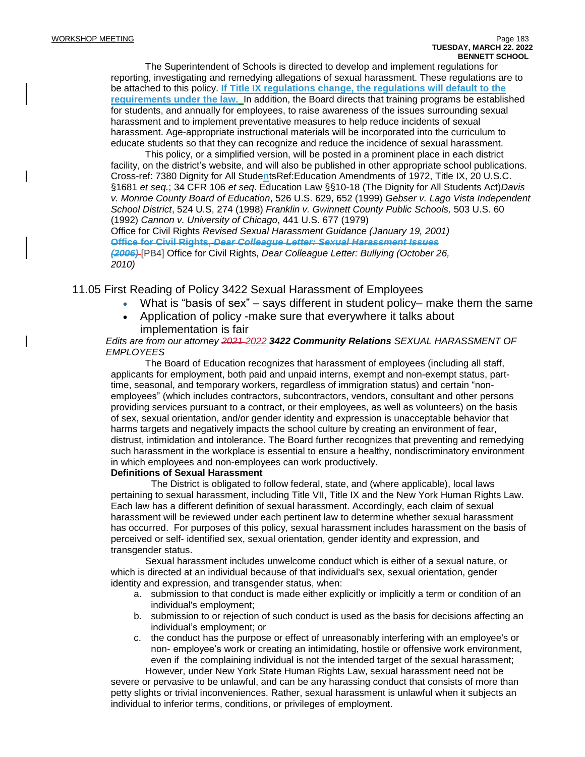The Superintendent of Schools is directed to develop and implement regulations for reporting, investigating and remedying allegations of sexual harassment. These regulations are to be attached to this policy. **If Title IX regulations change, the regulations will default to the requirements under the law.** In addition, the Board directs that training programs be established for students, and annually for employees, to raise awareness of the issues surrounding sexual harassment and to implement preventative measures to help reduce incidents of sexual harassment. Age-appropriate instructional materials will be incorporated into the curriculum to educate students so that they can recognize and reduce the incidence of sexual harassment.

This policy, or a simplified version, will be posted in a prominent place in each district facility, on the district's website, and will also be published in other appropriate school publications. Cross-ref: 7380 Dignity for All Stude**n**tsRef:Education Amendments of 1972, Title IX, 20 U.S.C. §1681 *et seq.*; 34 CFR 106 *et seq*. Education Law §§10-18 (The Dignity for All Students Act)*Davis v. Monroe County Board of Education*, 526 U.S. 629, 652 (1999) *Gebser v. Lago Vista Independent School District*, 524 U.S, 274 (1998) *Franklin v. Gwinnett County Public Schools,* 503 U.S. 60 (1992) *Cannon v. University of Chicago*, 441 U.S. 677 (1979) Office for Civil Rights *Revised Sexual Harassment Guidance (January 19, 2001)* **Office for Civil Rights,** *Dear Colleague Letter: Sexual Harassment Issues*

*(2006)* [\[PB4\]](https://go.boarddocs.com/ny/onteora/Board.nsf/Private?open&login#_msocom_4) Office for Civil Rights, *Dear Colleague Letter: Bullying (October 26, 2010)*

## 11.05 First Reading of Policy 3422 Sexual Harassment of Employees

- What is "basis of sex" says different in student policy– make them the same
- Application of policy -make sure that everywhere it talks about implementation is fair

#### *Edits are from our attorney 2021 2022 3422 Community Relations SEXUAL HARASSMENT OF EMPLOYEES*

The Board of Education recognizes that harassment of employees (including all staff, applicants for employment, both paid and unpaid interns, exempt and non-exempt status, parttime, seasonal, and temporary workers, regardless of immigration status) and certain "nonemployees" (which includes contractors, subcontractors, vendors, consultant and other persons providing services pursuant to a contract, or their employees, as well as volunteers) on the basis of sex, sexual orientation, and/or gender identity and expression is unacceptable behavior that harms targets and negatively impacts the school culture by creating an environment of fear, distrust, intimidation and intolerance. The Board further recognizes that preventing and remedying such harassment in the workplace is essential to ensure a healthy, nondiscriminatory environment in which employees and non-employees can work productively.

#### **Definitions of Sexual Harassment**

The District is obligated to follow federal, state, and (where applicable), local laws pertaining to sexual harassment, including Title VII, Title IX and the New York Human Rights Law. Each law has a different definition of sexual harassment. Accordingly, each claim of sexual harassment will be reviewed under each pertinent law to determine whether sexual harassment has occurred. For purposes of this policy, sexual harassment includes harassment on the basis of perceived or self- identified sex, sexual orientation, gender identity and expression, and transgender status.

Sexual harassment includes unwelcome conduct which is either of a sexual nature, or which is directed at an individual because of that individual's sex, sexual orientation, gender identity and expression, and transgender status, when:

- a. submission to that conduct is made either explicitly or implicitly a term or condition of an individual's employment;
- b. submission to or rejection of such conduct is used as the basis for decisions affecting an individual's employment; or
- c. the conduct has the purpose or effect of unreasonably interfering with an employee's or non- employee's work or creating an intimidating, hostile or offensive work environment, even if the complaining individual is not the intended target of the sexual harassment;

However, under New York State Human Rights Law, sexual harassment need not be severe or pervasive to be unlawful, and can be any harassing conduct that consists of more than petty slights or trivial inconveniences. Rather, sexual harassment is unlawful when it subjects an individual to inferior terms, conditions, or privileges of employment.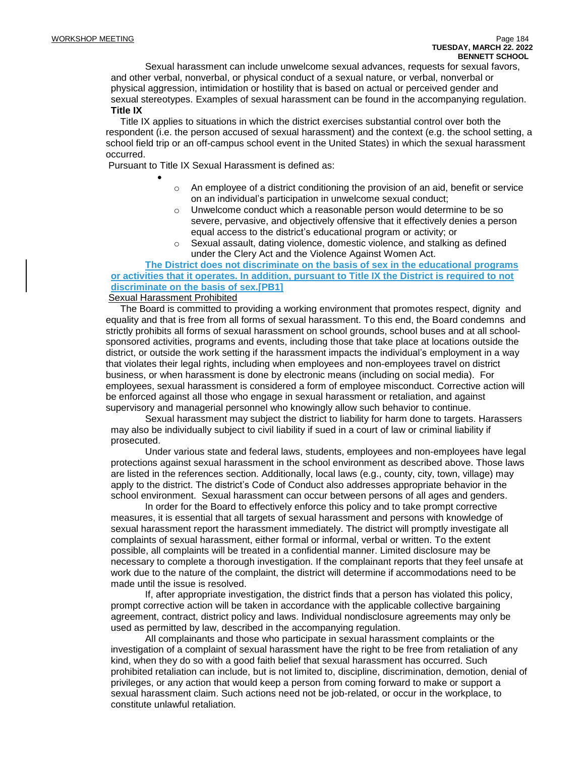Sexual harassment can include unwelcome sexual advances, requests for sexual favors, and other verbal, nonverbal, or physical conduct of a sexual nature, or verbal, nonverbal or physical aggression, intimidation or hostility that is based on actual or perceived gender and sexual stereotypes. Examples of sexual harassment can be found in the accompanying regulation. **Title IX**

Title IX applies to situations in which the district exercises substantial control over both the respondent (i.e. the person accused of sexual harassment) and the context (e.g. the school setting, a school field trip or an off-campus school event in the United States) in which the sexual harassment occurred.

Pursuant to Title IX Sexual Harassment is defined as:

- $\circ$  An employee of a district conditioning the provision of an aid, benefit or service on an individual's participation in unwelcome sexual conduct;
- o Unwelcome conduct which a reasonable person would determine to be so severe, pervasive, and objectively offensive that it effectively denies a person equal access to the district's educational program or activity; or
- $\circ$  Sexual assault, dating violence, domestic violence, and stalking as defined under the Clery Act and the Violence Against Women Act.

## **The District does not discriminate on the basis of sex in the educational programs or activities that it operates. In addition, pursuant to Title IX the District is required to not discriminate on the basis of sex[.\[PB1\]](https://go.boarddocs.com/ny/onteora/Board.nsf/Private?open&login#_msocom_1)**

#### Sexual Harassment Prohibited

•

The Board is committed to providing a working environment that promotes respect, dignity and equality and that is free from all forms of sexual harassment. To this end, the Board condemns and strictly prohibits all forms of sexual harassment on school grounds, school buses and at all schoolsponsored activities, programs and events, including those that take place at locations outside the district, or outside the work setting if the harassment impacts the individual's employment in a way that violates their legal rights, including when employees and non-employees travel on district business, or when harassment is done by electronic means (including on social media). For employees, sexual harassment is considered a form of employee misconduct. Corrective action will be enforced against all those who engage in sexual harassment or retaliation, and against supervisory and managerial personnel who knowingly allow such behavior to continue.

Sexual harassment may subject the district to liability for harm done to targets. Harassers may also be individually subject to civil liability if sued in a court of law or criminal liability if prosecuted.

Under various state and federal laws, students, employees and non-employees have legal protections against sexual harassment in the school environment as described above. Those laws are listed in the references section. Additionally, local laws (e.g., county, city, town, village) may apply to the district. The district's Code of Conduct also addresses appropriate behavior in the school environment. Sexual harassment can occur between persons of all ages and genders.

In order for the Board to effectively enforce this policy and to take prompt corrective measures, it is essential that all targets of sexual harassment and persons with knowledge of sexual harassment report the harassment immediately. The district will promptly investigate all complaints of sexual harassment, either formal or informal, verbal or written. To the extent possible, all complaints will be treated in a confidential manner. Limited disclosure may be necessary to complete a thorough investigation. If the complainant reports that they feel unsafe at work due to the nature of the complaint, the district will determine if accommodations need to be made until the issue is resolved.

If, after appropriate investigation, the district finds that a person has violated this policy, prompt corrective action will be taken in accordance with the applicable collective bargaining agreement, contract, district policy and laws. Individual nondisclosure agreements may only be used as permitted by law, described in the accompanying regulation.

All complainants and those who participate in sexual harassment complaints or the investigation of a complaint of sexual harassment have the right to be free from retaliation of any kind, when they do so with a good faith belief that sexual harassment has occurred. Such prohibited retaliation can include, but is not limited to, discipline, discrimination, demotion, denial of privileges, or any action that would keep a person from coming forward to make or support a sexual harassment claim. Such actions need not be job-related, or occur in the workplace, to constitute unlawful retaliation.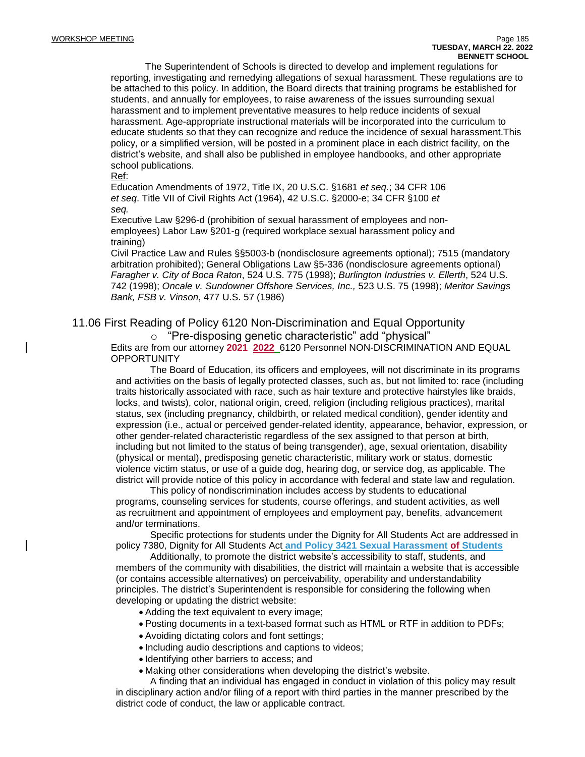The Superintendent of Schools is directed to develop and implement regulations for reporting, investigating and remedying allegations of sexual harassment. These regulations are to be attached to this policy. In addition, the Board directs that training programs be established for students, and annually for employees, to raise awareness of the issues surrounding sexual harassment and to implement preventative measures to help reduce incidents of sexual harassment. Age-appropriate instructional materials will be incorporated into the curriculum to educate students so that they can recognize and reduce the incidence of sexual harassment.This policy, or a simplified version, will be posted in a prominent place in each district facility, on the district's website, and shall also be published in employee handbooks, and other appropriate school publications.

Ref:

Education Amendments of 1972, Title IX, 20 U.S.C. §1681 *et seq.*; 34 CFR 106 *et seq*. Title VII of Civil Rights Act (1964), 42 U.S.C. §2000-e; 34 CFR §100 *et seq.*

Executive Law §296-d (prohibition of sexual harassment of employees and nonemployees) Labor Law §201-g (required workplace sexual harassment policy and training)

Civil Practice Law and Rules §§5003-b (nondisclosure agreements optional); 7515 (mandatory arbitration prohibited); General Obligations Law §5-336 (nondisclosure agreements optional) *Faragher v. City of Boca Raton*, 524 U.S. 775 (1998); *Burlington Industries v. Ellerth*, 524 U.S. 742 (1998); *Oncale v. Sundowner Offshore Services, Inc.,* 523 U.S. 75 (1998); *Meritor Savings Bank, FSB v. Vinson*, 477 U.S. 57 (1986)

## 11.06 First Reading of Policy 6120 Non-Discrimination and Equal Opportunity

o "Pre-disposing genetic characteristic" add "physical"

Edits are from our attorney **2021 2022** 6120 Personnel NON-DISCRIMINATION AND EQUAL **OPPORTUNITY** 

The Board of Education, its officers and employees, will not discriminate in its programs and activities on the basis of legally protected classes, such as, but not limited to: race (including traits historically associated with race, such as hair texture and protective hairstyles like braids, locks, and twists), color, national origin, creed, religion (including religious practices), marital status, sex (including pregnancy, childbirth, or related medical condition), gender identity and expression (i.e., actual or perceived gender-related identity, appearance, behavior, expression, or other gender-related characteristic regardless of the sex assigned to that person at birth, including but not limited to the status of being transgender), age, sexual orientation, disability (physical or mental), predisposing genetic characteristic, military work or status, domestic violence victim status, or use of a guide dog, hearing dog, or service dog, as applicable. The district will provide notice of this policy in accordance with federal and state law and regulation.

This policy of nondiscrimination includes access by students to educational programs, counseling services for students, course offerings, and student activities, as well as recruitment and appointment of employees and employment pay, benefits, advancement and/or terminations.

Specific protections for students under the Dignity for All Students Act are addressed in policy 7380, Dignity for All Students Act **and Policy 3421 Sexual Harassment of Students**

Additionally, to promote the district website's accessibility to staff, students, and members of the community with disabilities, the district will maintain a website that is accessible (or contains accessible alternatives) on perceivability, operability and understandability principles. The district's Superintendent is responsible for considering the following when developing or updating the district website:

- Adding the text equivalent to every image;
- Posting documents in a text-based format such as HTML or RTF in addition to PDFs;
- Avoiding dictating colors and font settings;
- Including audio descriptions and captions to videos;
- Identifying other barriers to access; and
- Making other considerations when developing the district's website.

A finding that an individual has engaged in conduct in violation of this policy may result in disciplinary action and/or filing of a report with third parties in the manner prescribed by the district code of conduct, the law or applicable contract.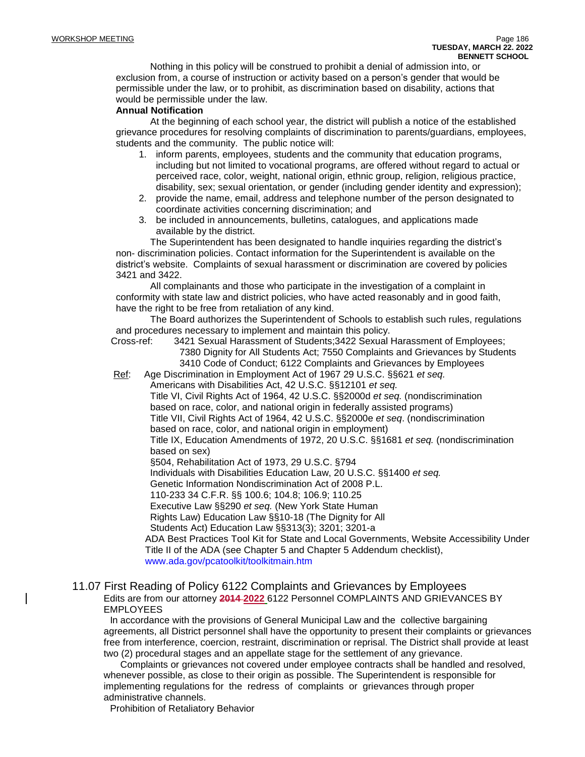Nothing in this policy will be construed to prohibit a denial of admission into, or exclusion from, a course of instruction or activity based on a person's gender that would be permissible under the law, or to prohibit, as discrimination based on disability, actions that would be permissible under the law.

#### **Annual Notification**

At the beginning of each school year, the district will publish a notice of the established grievance procedures for resolving complaints of discrimination to parents/guardians, employees, students and the community. The public notice will:

- 1. inform parents, employees, students and the community that education programs, including but not limited to vocational programs, are offered without regard to actual or perceived race, color, weight, national origin, ethnic group, religion, religious practice, disability, sex; sexual orientation, or gender (including gender identity and expression);
- 2. provide the name, email, address and telephone number of the person designated to coordinate activities concerning discrimination; and
- 3. be included in announcements, bulletins, catalogues, and applications made available by the district.

The Superintendent has been designated to handle inquiries regarding the district's non- discrimination policies. Contact information for the Superintendent is available on the district's website. Complaints of sexual harassment or discrimination are covered by policies 3421 and 3422.

All complainants and those who participate in the investigation of a complaint in conformity with state law and district policies, who have acted reasonably and in good faith, have the right to be free from retaliation of any kind.

The Board authorizes the Superintendent of Schools to establish such rules, regulations and procedures necessary to implement and maintain this policy.

Cross-ref: 3421 Sexual Harassment of Students;3422 Sexual Harassment of Employees; 7380 Dignity for All Students Act; 7550 Complaints and Grievances by Students 3410 Code of Conduct; 6122 Complaints and Grievances by Employees

Ref: Age Discrimination in Employment Act of 1967 29 U.S.C. §§621 *et seq.* Americans with Disabilities Act, 42 U.S.C. §§12101 *et seq.*

Title VI, Civil Rights Act of 1964, 42 U.S.C. §§2000d *et seq.* (nondiscrimination based on race, color, and national origin in federally assisted programs)

Title VII, Civil Rights Act of 1964, 42 U.S.C. §§2000e *et seq*. (nondiscrimination based on race, color, and national origin in employment)

Title IX, Education Amendments of 1972, 20 U.S.C. §§1681 *et seq.* (nondiscrimination based on sex)

§504, Rehabilitation Act of 1973, 29 U.S.C. §794

Individuals with Disabilities Education Law, 20 U.S.C. §§1400 *et seq.*

Genetic Information Nondiscrimination Act of 2008 P.L.

110-233 34 C.F.R. §§ 100.6; 104.8; 106.9; 110.25

Executive Law §§290 *et seq.* (New York State Human

Rights Law) Education Law §§10-18 (The Dignity for All

Students Act) Education Law §§313(3); 3201; 3201-a

ADA Best Practices Tool Kit for State and Local Governments, Website Accessibility Under Title II of the ADA (see Chapter 5 and Chapter 5 Addendum checklist), [www.ada.gov/pcatoolkit/toolkitmain.htm](http://www.ada.gov/pcatoolkit/toolkitmain.htm)

#### 11.07 First Reading of Policy 6122 Complaints and Grievances by Employees Edits are from our attorney **2014 2022** 6122 Personnel COMPLAINTS AND GRIEVANCES BY EMPLOYEES

In accordance with the provisions of General Municipal Law and the collective bargaining agreements, all District personnel shall have the opportunity to present their complaints or grievances free from interference, coercion, restraint, discrimination or reprisal. The District shall provide at least two (2) procedural stages and an appellate stage for the settlement of any grievance.

Complaints or grievances not covered under employee contracts shall be handled and resolved, whenever possible, as close to their origin as possible. The Superintendent is responsible for implementing regulations for the redress of complaints or grievances through proper administrative channels.

Prohibition of Retaliatory Behavior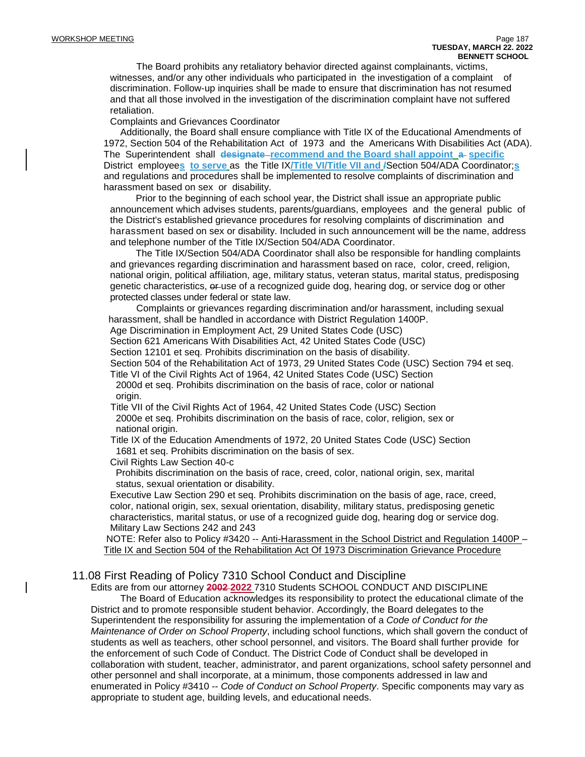The Board prohibits any retaliatory behavior directed against complainants, victims, witnesses, and/or any other individuals who participated in the investigation of a complaint of discrimination. Follow-up inquiries shall be made to ensure that discrimination has not resumed and that all those involved in the investigation of the discrimination complaint have not suffered retaliation.

Complaints and Grievances Coordinator

Additionally, the Board shall ensure compliance with Title IX of the Educational Amendments of 1972, Section 504 of the Rehabilitation Act of 1973 and the Americans With Disabilities Act (ADA). The Superintendent shall **designate recommend and the Board shall appoint a specific** District employee**s to serve** as the Title IX**/Title VI/Title VII and /**Section 504/ADA Coordinator;**s** and regulations and procedures shall be implemented to resolve complaints of discrimination and harassment based on sex or disability.

Prior to the beginning of each school year, the District shall issue an appropriate public announcement which advises students, parents/guardians, employees and the general public of the District's established grievance procedures for resolving complaints of discrimination and harassment based on sex or disability. Included in such announcement will be the name, address and telephone number of the Title IX/Section 504/ADA Coordinator.

The Title IX/Section 504/ADA Coordinator shall also be responsible for handling complaints and grievances regarding discrimination and harassment based on race, color, creed, religion, national origin, political affiliation, age, military status, veteran status, marital status, predisposing genetic characteristics,  $\theta$ -use of a recognized guide dog, hearing dog, or service dog or other protected classes under federal or state law.

Complaints or grievances regarding discrimination and/or harassment, including sexual harassment, shall be handled in accordance with District Regulation 1400P.

Age Discrimination in Employment Act, 29 United States Code (USC)

Section 621 Americans With Disabilities Act, 42 United States Code (USC)

Section 12101 et seq. Prohibits discrimination on the basis of disability.

Section 504 of the Rehabilitation Act of 1973, 29 United States Code (USC) Section 794 et seq.

Title VI of the Civil Rights Act of 1964, 42 United States Code (USC) Section 2000d et seq. Prohibits discrimination on the basis of race, color or national

origin.

Title VII of the Civil Rights Act of 1964, 42 United States Code (USC) Section 2000e et seq. Prohibits discrimination on the basis of race, color, religion, sex or national origin.

Title IX of the Education Amendments of 1972, 20 United States Code (USC) Section 1681 et seq. Prohibits discrimination on the basis of sex.

Civil Rights Law Section 40-c

Prohibits discrimination on the basis of race, creed, color, national origin, sex, marital status, sexual orientation or disability.

Executive Law Section 290 et seq. Prohibits discrimination on the basis of age, race, creed, color, national origin, sex, sexual orientation, disability, military status, predisposing genetic characteristics, marital status, or use of a recognized guide dog, hearing dog or service dog. Military Law Sections 242 and 243

NOTE: Refer also to Policy #3420 -- Anti-Harassment in the School District and Regulation 1400P – Title IX and Section 504 of the Rehabilitation Act Of 1973 Discrimination Grievance Procedure

### 11.08 First Reading of Policy 7310 School Conduct and Discipline

Edits are from our attorney **2002 2022** 7310 Students SCHOOL CONDUCT AND DISCIPLINE

The Board of Education acknowledges its responsibility to protect the educational climate of the District and to promote responsible student behavior. Accordingly, the Board delegates to the Superintendent the responsibility for assuring the implementation of a *Code of Conduct for the Maintenance of Order on School Property*, including school functions, which shall govern the conduct of students as well as teachers, other school personnel, and visitors. The Board shall further provide for the enforcement of such Code of Conduct. The District Code of Conduct shall be developed in collaboration with student, teacher, administrator, and parent organizations, school safety personnel and other personnel and shall incorporate, at a minimum, those components addressed in law and enumerated in Policy #3410 -- *Code of Conduct on School Property*. Specific components may vary as appropriate to student age, building levels, and educational needs.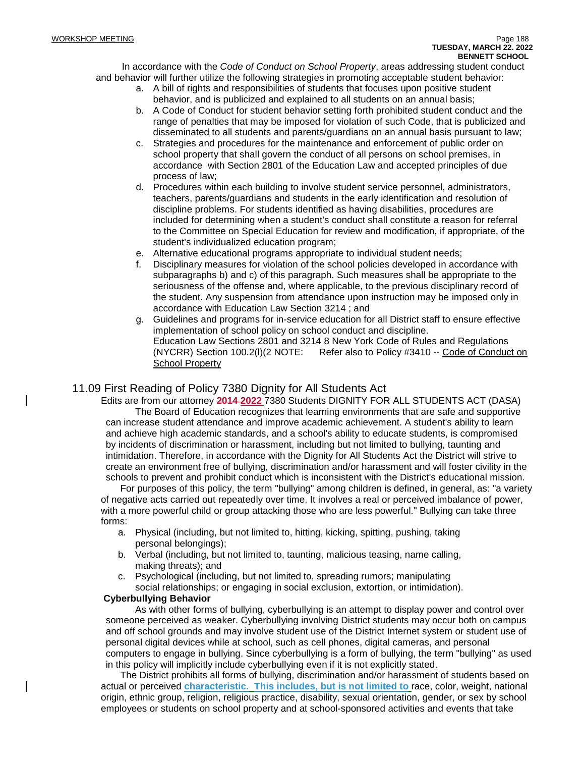In accordance with the *Code of Conduct on School Property*, areas addressing student conduct and behavior will further utilize the following strategies in promoting acceptable student behavior:

- a. A bill of rights and responsibilities of students that focuses upon positive student behavior, and is publicized and explained to all students on an annual basis;
- b. A Code of Conduct for student behavior setting forth prohibited student conduct and the range of penalties that may be imposed for violation of such Code, that is publicized and disseminated to all students and parents/guardians on an annual basis pursuant to law;
- c. Strategies and procedures for the maintenance and enforcement of public order on school property that shall govern the conduct of all persons on school premises, in accordance with Section 2801 of the Education Law and accepted principles of due process of law;
- d. Procedures within each building to involve student service personnel, administrators, teachers, parents/guardians and students in the early identification and resolution of discipline problems. For students identified as having disabilities, procedures are included for determining when a student's conduct shall constitute a reason for referral to the Committee on Special Education for review and modification, if appropriate, of the student's individualized education program;
- e. Alternative educational programs appropriate to individual student needs;
- f. Disciplinary measures for violation of the school policies developed in accordance with subparagraphs b) and c) of this paragraph. Such measures shall be appropriate to the seriousness of the offense and, where applicable, to the previous disciplinary record of the student. Any suspension from attendance upon instruction may be imposed only in accordance with Education Law Section 3214 ; and
- g. Guidelines and programs for in-service education for all District staff to ensure effective implementation of school policy on school conduct and discipline. Education Law Sections 2801 and 3214 8 New York Code of Rules and Regulations (NYCRR) Section 100.2(I)(2 NOTE: Refer also to Policy #3410 -- Code of Conduct on **School Property**

## 11.09 First Reading of Policy 7380 Dignity for All Students Act

Edits are from our attorney **2014 2022** 7380 Students DIGNITY FOR ALL STUDENTS ACT (DASA) The Board of Education recognizes that learning environments that are safe and supportive can increase student attendance and improve academic achievement. A student's ability to learn and achieve high academic standards, and a school's ability to educate students, is compromised by incidents of discrimination or harassment, including but not limited to bullying, taunting and intimidation. Therefore, in accordance with the Dignity for All Students Act the District will strive to create an environment free of bullying, discrimination and/or harassment and will foster civility in the schools to prevent and prohibit conduct which is inconsistent with the District's educational mission.

For purposes of this policy, the term "bullying" among children is defined, in general, as: "a variety of negative acts carried out repeatedly over time. It involves a real or perceived imbalance of power, with a more powerful child or group attacking those who are less powerful." Bullying can take three forms:

- a. Physical (including, but not limited to, hitting, kicking, spitting, pushing, taking personal belongings);
- b. Verbal (including, but not limited to, taunting, malicious teasing, name calling, making threats); and
- c. Psychological (including, but not limited to, spreading rumors; manipulating social relationships; or engaging in social exclusion, extortion, or intimidation).

#### **Cyberbullying Behavior**

As with other forms of bullying, cyberbullying is an attempt to display power and control over someone perceived as weaker. Cyberbullying involving District students may occur both on campus and off school grounds and may involve student use of the District Internet system or student use of personal digital devices while at school, such as cell phones, digital cameras, and personal computers to engage in bullying. Since cyberbullying is a form of bullying, the term "bullying" as used in this policy will implicitly include cyberbullying even if it is not explicitly stated.

The District prohibits all forms of bullying, discrimination and/or harassment of students based on actual or perceived **characteristic. This includes, but is not limited to** race, color, weight, national origin, ethnic group, religion, religious practice, disability, sexual orientation, gender, or sex by school employees or students on school property and at school-sponsored activities and events that take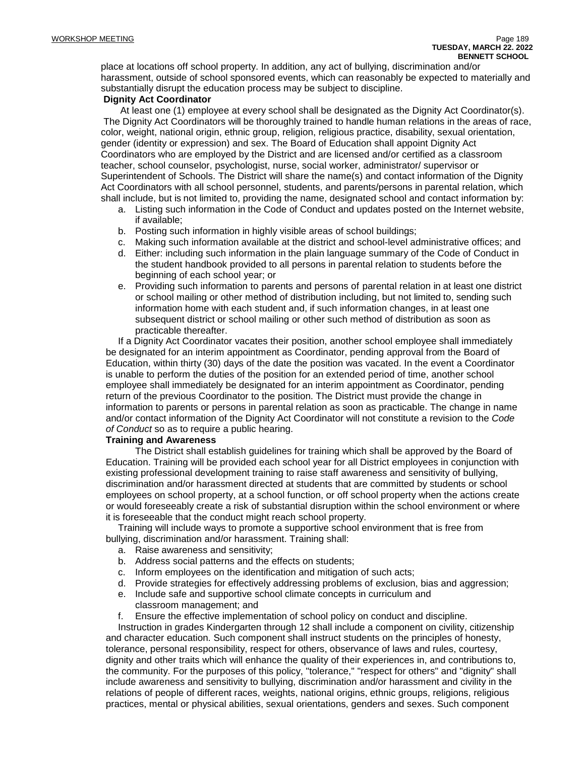place at locations off school property. In addition, any act of bullying, discrimination and/or harassment, outside of school sponsored events, which can reasonably be expected to materially and substantially disrupt the education process may be subject to discipline.

#### **Dignity Act Coordinator**

At least one (1) employee at every school shall be designated as the Dignity Act Coordinator(s). The Dignity Act Coordinators will be thoroughly trained to handle human relations in the areas of race, color, weight, national origin, ethnic group, religion, religious practice, disability, sexual orientation, gender (identity or expression) and sex. The Board of Education shall appoint Dignity Act Coordinators who are employed by the District and are licensed and/or certified as a classroom teacher, school counselor, psychologist, nurse, social worker, administrator/ supervisor or Superintendent of Schools. The District will share the name(s) and contact information of the Dignity Act Coordinators with all school personnel, students, and parents/persons in parental relation, which shall include, but is not limited to, providing the name, designated school and contact information by:

- a. Listing such information in the Code of Conduct and updates posted on the Internet website, if available;
- b. Posting such information in highly visible areas of school buildings;
- c. Making such information available at the district and school-level administrative offices; and
- d. Either: including such information in the plain language summary of the Code of Conduct in the student handbook provided to all persons in parental relation to students before the beginning of each school year; or
- e. Providing such information to parents and persons of parental relation in at least one district or school mailing or other method of distribution including, but not limited to, sending such information home with each student and, if such information changes, in at least one subsequent district or school mailing or other such method of distribution as soon as practicable thereafter.

If a Dignity Act Coordinator vacates their position, another school employee shall immediately be designated for an interim appointment as Coordinator, pending approval from the Board of Education, within thirty (30) days of the date the position was vacated. In the event a Coordinator is unable to perform the duties of the position for an extended period of time, another school employee shall immediately be designated for an interim appointment as Coordinator, pending return of the previous Coordinator to the position. The District must provide the change in information to parents or persons in parental relation as soon as practicable. The change in name and/or contact information of the Dignity Act Coordinator will not constitute a revision to the *Code of Conduct* so as to require a public hearing.

#### **Training and Awareness**

The District shall establish guidelines for training which shall be approved by the Board of Education. Training will be provided each school year for all District employees in conjunction with existing professional development training to raise staff awareness and sensitivity of bullying, discrimination and/or harassment directed at students that are committed by students or school employees on school property, at a school function, or off school property when the actions create or would foreseeably create a risk of substantial disruption within the school environment or where it is foreseeable that the conduct might reach school property.

Training will include ways to promote a supportive school environment that is free from bullying, discrimination and/or harassment. Training shall:

- a. Raise awareness and sensitivity;
- b. Address social patterns and the effects on students;
- c. Inform employees on the identification and mitigation of such acts;
- d. Provide strategies for effectively addressing problems of exclusion, bias and aggression;
- e. Include safe and supportive school climate concepts in curriculum and classroom management; and

f. Ensure the effective implementation of school policy on conduct and discipline.

Instruction in grades Kindergarten through 12 shall include a component on civility, citizenship and character education. Such component shall instruct students on the principles of honesty, tolerance, personal responsibility, respect for others, observance of laws and rules, courtesy, dignity and other traits which will enhance the quality of their experiences in, and contributions to, the community. For the purposes of this policy, "tolerance," "respect for others" and "dignity" shall include awareness and sensitivity to bullying, discrimination and/or harassment and civility in the relations of people of different races, weights, national origins, ethnic groups, religions, religious practices, mental or physical abilities, sexual orientations, genders and sexes. Such component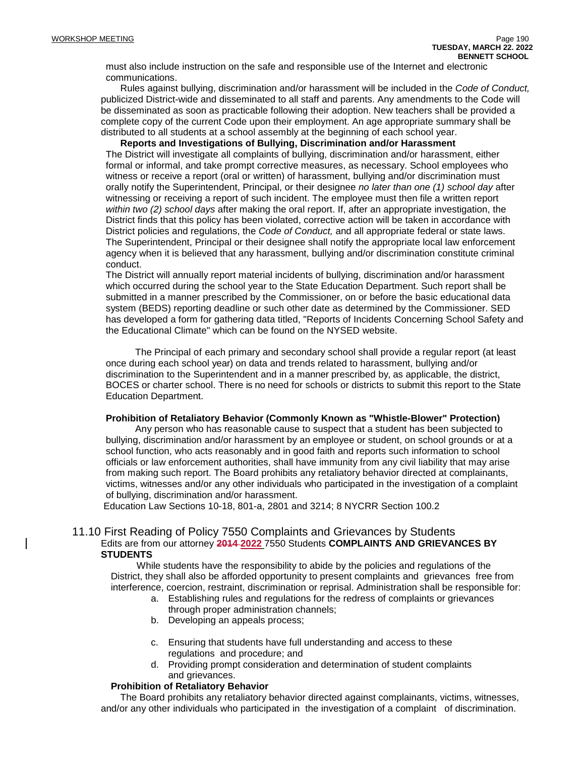must also include instruction on the safe and responsible use of the Internet and electronic communications.

Rules against bullying, discrimination and/or harassment will be included in the *Code of Conduct,* publicized District-wide and disseminated to all staff and parents. Any amendments to the Code will be disseminated as soon as practicable following their adoption. New teachers shall be provided a complete copy of the current Code upon their employment. An age appropriate summary shall be distributed to all students at a school assembly at the beginning of each school year.

**Reports and Investigations of Bullying, Discrimination and/or Harassment** The District will investigate all complaints of bullying, discrimination and/or harassment, either formal or informal, and take prompt corrective measures, as necessary. School employees who witness or receive a report (oral or written) of harassment, bullying and/or discrimination must orally notify the Superintendent, Principal, or their designee *no later than one (1) school day* after witnessing or receiving a report of such incident. The employee must then file a written report *within two (2) school days* after making the oral report. If, after an appropriate investigation, the District finds that this policy has been violated, corrective action will be taken in accordance with District policies and regulations, the *Code of Conduct,* and all appropriate federal or state laws. The Superintendent, Principal or their designee shall notify the appropriate local law enforcement agency when it is believed that any harassment, bullying and/or discrimination constitute criminal conduct.

The District will annually report material incidents of bullying, discrimination and/or harassment which occurred during the school year to the State Education Department. Such report shall be submitted in a manner prescribed by the Commissioner, on or before the basic educational data system (BEDS) reporting deadline or such other date as determined by the Commissioner. SED has developed a form for gathering data titled, "Reports of Incidents Concerning School Safety and the Educational Climate" which can be found on the NYSED website.

The Principal of each primary and secondary school shall provide a regular report (at least once during each school year) on data and trends related to harassment, bullying and/or discrimination to the Superintendent and in a manner prescribed by, as applicable, the district, BOCES or charter school. There is no need for schools or districts to submit this report to the State Education Department.

#### **Prohibition of Retaliatory Behavior (Commonly Known as "Whistle-Blower" Protection)**

Any person who has reasonable cause to suspect that a student has been subjected to bullying, discrimination and/or harassment by an employee or student, on school grounds or at a school function, who acts reasonably and in good faith and reports such information to school officials or law enforcement authorities, shall have immunity from any civil liability that may arise from making such report. The Board prohibits any retaliatory behavior directed at complainants, victims, witnesses and/or any other individuals who participated in the investigation of a complaint of bullying, discrimination and/or harassment.

Education Law Sections 10-18, 801-a, 2801 and 3214; 8 NYCRR Section 100.2

#### 11.10 First Reading of Policy 7550 Complaints and Grievances by Students Edits are from our attorney **2014 2022** 7550 Students **COMPLAINTS AND GRIEVANCES BY STUDENTS**

While students have the responsibility to abide by the policies and regulations of the District, they shall also be afforded opportunity to present complaints and grievances free from interference, coercion, restraint, discrimination or reprisal. Administration shall be responsible for:

- a. Establishing rules and regulations for the redress of complaints or grievances through proper administration channels;
- b. Developing an appeals process;
- c. Ensuring that students have full understanding and access to these regulations and procedure; and
- d. Providing prompt consideration and determination of student complaints and grievances.

#### **Prohibition of Retaliatory Behavior**

The Board prohibits any retaliatory behavior directed against complainants, victims, witnesses, and/or any other individuals who participated in the investigation of a complaint of discrimination.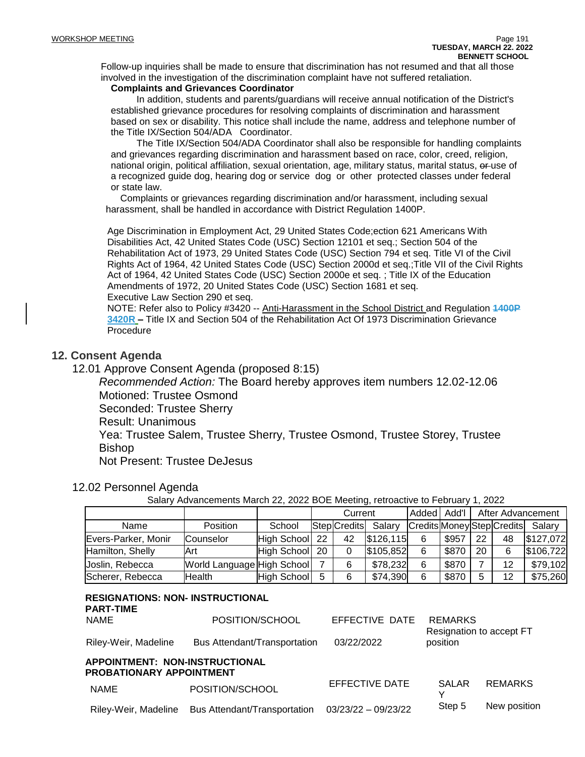Follow-up inquiries shall be made to ensure that discrimination has not resumed and that all those involved in the investigation of the discrimination complaint have not suffered retaliation.

#### **Complaints and Grievances Coordinator**

In addition, students and parents/guardians will receive annual notification of the District's established grievance procedures for resolving complaints of discrimination and harassment based on sex or disability. This notice shall include the name, address and telephone number of the Title IX/Section 504/ADA Coordinator.

The Title IX/Section 504/ADA Coordinator shall also be responsible for handling complaints and grievances regarding discrimination and harassment based on race, color, creed, religion, national origin, political affiliation, sexual orientation, age, military status, marital status, or use of a recognized guide dog, hearing dog or service dog or other protected classes under federal or state law.

Complaints or grievances regarding discrimination and/or harassment, including sexual harassment, shall be handled in accordance with District Regulation 1400P.

Age Discrimination in Employment Act, 29 United States Code;ection 621 Americans With Disabilities Act, 42 United States Code (USC) Section 12101 et seq.; Section 504 of the Rehabilitation Act of 1973, 29 United States Code (USC) Section 794 et seq. Title VI of the Civil Rights Act of 1964, 42 United States Code (USC) Section 2000d et seq.;Title VII of the Civil Rights Act of 1964, 42 United States Code (USC) Section 2000e et seq. ; Title IX of the Education Amendments of 1972, 20 United States Code (USC) Section 1681 et seq. Executive Law Section 290 et seq.

NOTE: Refer also to Policy #3420 -- Anti-Harassment in the School District and Regulation **1400P 3420R –** Title IX and Section 504 of the Rehabilitation Act Of 1973 Discrimination Grievance Procedure

### **12. Consent Agenda**

12.01 Approve Consent Agenda (proposed 8:15)

*Recommended Action:* The Board hereby approves item numbers 12.02-12.06 Motioned: Trustee Osmond

Seconded: Trustee Sherry

Result: Unanimous

Yea: Trustee Salem, Trustee Sherry, Trustee Osmond, Trustee Storey, Trustee Bishop

Not Present: Trustee DeJesus

#### 12.02 Personnel Agenda

Salary Advancements March 22, 2022 BOE Meeting, retroactive to February 1, 2022

|                     |                            |                |     | Current      |           | Added  Add' |       |    |                            | After Advancement |
|---------------------|----------------------------|----------------|-----|--------------|-----------|-------------|-------|----|----------------------------|-------------------|
| Name                | <b>Position</b>            | School         |     | Step Credits | Salary    |             |       |    | Credits Money Step Credits | Salary            |
| Evers-Parker, Monir | Counselor                  | High School    | -22 | 42           | \$126,115 | 6           | \$957 | 22 | 48                         | \$127,072         |
| Hamilton, Shelly    | Art                        | High School 20 |     |              | \$105,852 | 6           | \$870 | 20 |                            | \$106,722         |
| Joslin, Rebecca     | World Language High School |                |     |              | \$78,232  | 6           | \$870 |    | 12                         | \$79,102          |
| Scherer, Rebecca    | Health                     | High School 5  |     | 6            | \$74,390  | 6           | \$870 |    | 12                         | \$75,260          |

#### **RESIGNATIONS: NON- INSTRUCTIONAL PART-TIME**

| POSITION/SCHOOL<br>NAME                                           |                              | EFFECTIVE DATE | REMARKS<br>Resignation to accept FT |                                                                                                                                                                                                                                                                                                  |  |  |  |
|-------------------------------------------------------------------|------------------------------|----------------|-------------------------------------|--------------------------------------------------------------------------------------------------------------------------------------------------------------------------------------------------------------------------------------------------------------------------------------------------|--|--|--|
| Riley-Weir, Madeline                                              | Bus Attendant/Transportation | 03/22/2022     | position                            |                                                                                                                                                                                                                                                                                                  |  |  |  |
| APPOINTMENT: NON-INSTRUCTIONAL<br><b>PROBATIONARY APPOINTMENT</b> |                              |                |                                     |                                                                                                                                                                                                                                                                                                  |  |  |  |
| <b>NAME</b>                                                       | POSITION/SCHOOL              | EFFECTIVE DATE | SALAR                               | REMARKS                                                                                                                                                                                                                                                                                          |  |  |  |
|                                                                   |                              |                |                                     | $\mathbf{C}$ and $\mathbf{C}$ and $\mathbf{C}$ and $\mathbf{C}$ and $\mathbf{C}$ and $\mathbf{C}$ and $\mathbf{C}$ and $\mathbf{C}$ and $\mathbf{C}$ and $\mathbf{C}$ and $\mathbf{C}$ and $\mathbf{C}$ and $\mathbf{C}$ and $\mathbf{C}$ and $\mathbf{C}$ and $\mathbf{C}$ and $\mathbf{C}$ and |  |  |  |

Riley-Weir, Madeline Bus Attendant/Transportation 03/23/22 – 09/23/22 Step 5 New position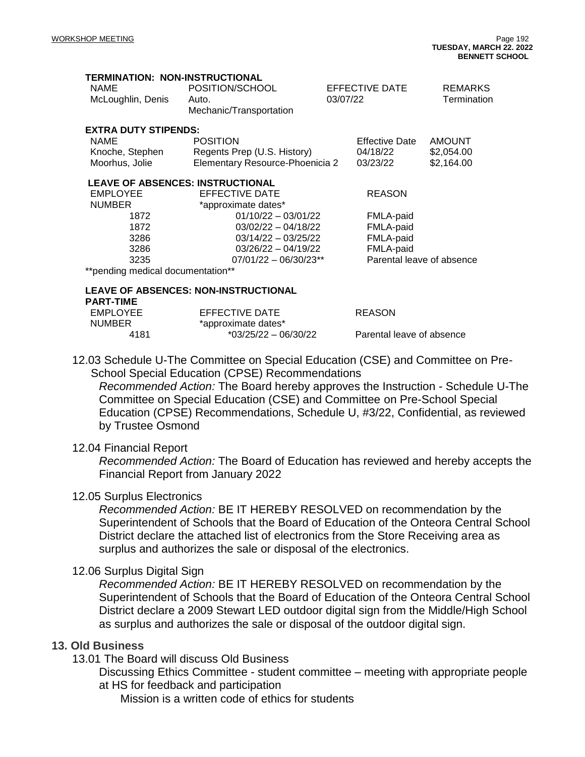| <b>TERMINATION: NON-INSTRUCTIONAL</b><br><b>NAME</b><br>McLoughlin, Denis                                     | POSITION/SCHOOL<br>Auto.<br>Mechanic/Transportation                                                                                                                                                             | EFFECTIVE DATE<br>03/07/22                                        | REMARKS<br>Termination                    |
|---------------------------------------------------------------------------------------------------------------|-----------------------------------------------------------------------------------------------------------------------------------------------------------------------------------------------------------------|-------------------------------------------------------------------|-------------------------------------------|
| <b>EXTRA DUTY STIPENDS:</b><br><b>NAME</b><br>Knoche, Stephen<br>Moorhus, Jolie                               | <b>POSITION</b><br>Regents Prep (U.S. History)<br>Elementary Resource-Phoenicia 2                                                                                                                               | <b>Effective Date</b><br>04/18/22<br>03/23/22                     | <b>AMOUNT</b><br>\$2,054.00<br>\$2,164.00 |
| <b>EMPLOYEE</b><br><b>NUMBER</b><br>1872<br>1872<br>3286<br>3286<br>3235<br>**pending medical documentation** | <b>LEAVE OF ABSENCES: INSTRUCTIONAL</b><br>EFFECTIVE DATE<br>*approximate dates*<br>$01/10/22 - 03/01/22$<br>$03/02/22 - 04/18/22$<br>$03/14/22 - 03/25/22$<br>$03/26/22 - 04/19/22$<br>$07/01/22 - 06/30/23**$ | <b>REASON</b><br>FMLA-paid<br>FMLA-paid<br>FMLA-paid<br>FMLA-paid | Parental leave of absence                 |
|                                                                                                               | <b>LEAVE OF ABSENCES: NON-INSTRUCTIONAL</b>                                                                                                                                                                     |                                                                   |                                           |
| <b>PART-TIME</b><br><b>EMPLOYEE</b><br><b>NUMBER</b><br>4181                                                  | <b>EFFECTIVE DATE</b><br>*approximate dates*<br>$*03/25/22 - 06/30/22$                                                                                                                                          | <b>REASON</b><br>Parental leave of absence                        |                                           |

12.03 Schedule U-The Committee on Special Education (CSE) and Committee on Pre-School Special Education (CPSE) Recommendations

*Recommended Action:* The Board hereby approves the Instruction - Schedule U-The Committee on Special Education (CSE) and Committee on Pre-School Special Education (CPSE) Recommendations, Schedule U, #3/22, Confidential, as reviewed by Trustee Osmond

### 12.04 Financial Report

*Recommended Action:* The Board of Education has reviewed and hereby accepts the Financial Report from January 2022

### 12.05 Surplus Electronics

*Recommended Action:* BE IT HEREBY RESOLVED on recommendation by the Superintendent of Schools that the Board of Education of the Onteora Central School District declare the attached list of electronics from the Store Receiving area as surplus and authorizes the sale or disposal of the electronics.

## 12.06 Surplus Digital Sign

*Recommended Action:* BE IT HEREBY RESOLVED on recommendation by the Superintendent of Schools that the Board of Education of the Onteora Central School District declare a 2009 Stewart LED outdoor digital sign from the Middle/High School as surplus and authorizes the sale or disposal of the outdoor digital sign.

## **13. Old Business**

13.01 The Board will discuss Old Business

Discussing Ethics Committee - student committee – meeting with appropriate people at HS for feedback and participation

Mission is a written code of ethics for students